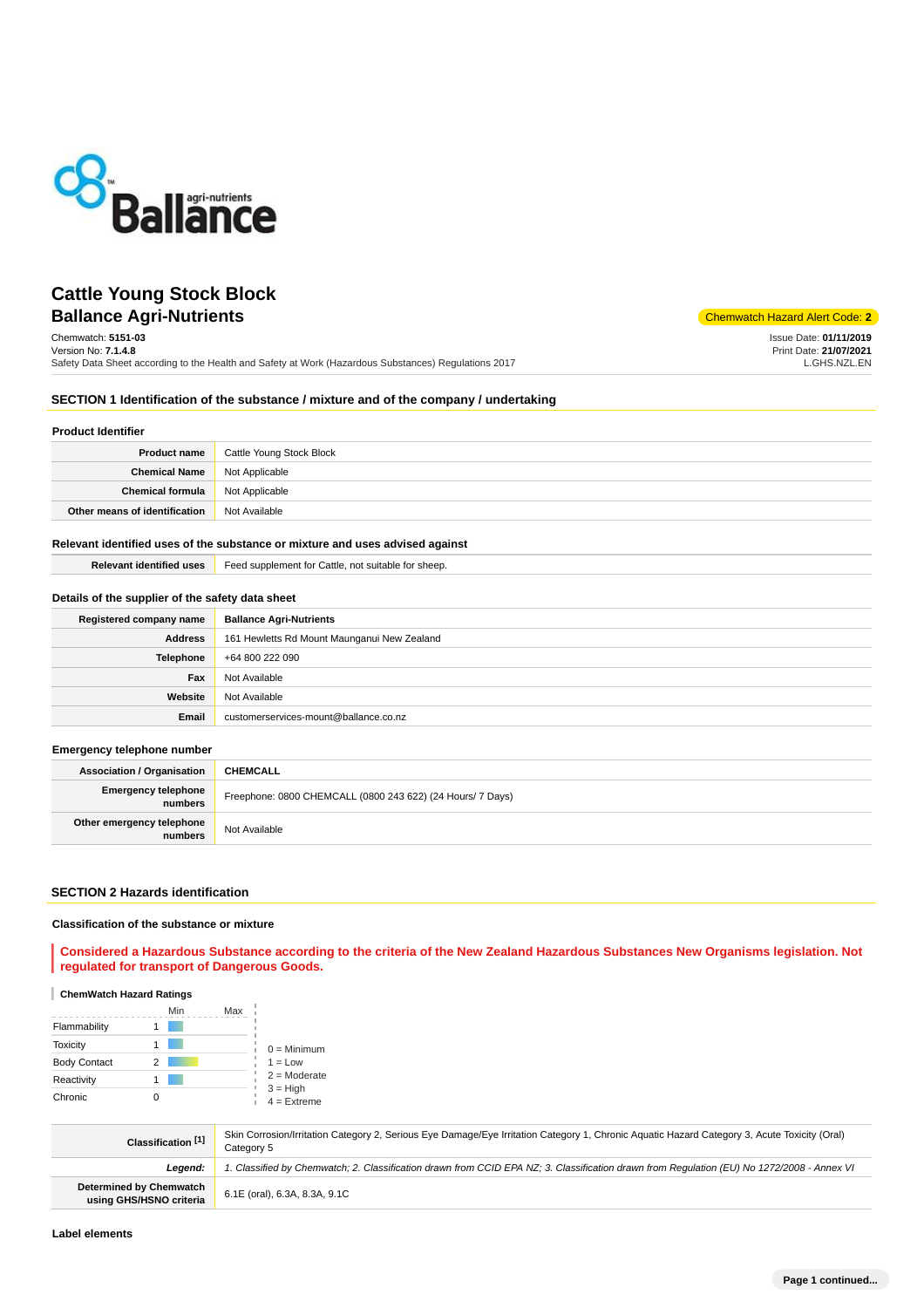

# **Ballance Agri-Nutrients** Chemwatch Hazard Alert Code: 2 **Cattle Young Stock Block**

Chemwatch: **5151-03**

Version No: **7.1.4.8** Safety Data Sheet according to the Health and Safety at Work (Hazardous Substances) Regulations 2017 Issue Date: **01/11/2019** Print Date: **21/07/2021** L.GHS.NZL.EN

## **SECTION 1 Identification of the substance / mixture and of the company / undertaking**

#### **Product Identifier**

| <b>Product name</b>                    | Cattle Young Stock Block |
|----------------------------------------|--------------------------|
| <b>Chemical Name</b>                   | Not Applicable           |
| <b>Chemical formula</b> Not Applicable |                          |
| Other means of identification          | Not Available            |

## **Relevant identified uses of the substance or mixture and uses advised against**

**Relevant identified uses** Feed supplement for Cattle, not suitable for sheep.

### **Details of the supplier of the safety data sheet**

| Registered company name | <b>Ballance Agri-Nutrients</b>              |
|-------------------------|---------------------------------------------|
| <b>Address</b>          | 161 Hewletts Rd Mount Maunganui New Zealand |
| <b>Telephone</b>        | +64 800 222 090                             |
| Fax                     | Not Available                               |
| Website                 | Not Available                               |
| Email                   | customerservices-mount@ballance.co.nz       |

#### **Emergency telephone number**

| <b>Association / Organisation</b>     | <b>CHEMCALL</b>                                            |
|---------------------------------------|------------------------------------------------------------|
| <b>Emergency telephone</b><br>numbers | Freephone: 0800 CHEMCALL (0800 243 622) (24 Hours/ 7 Days) |
| Other emergency telephone<br>numbers  | Not Available                                              |

### **SECTION 2 Hazards identification**

#### **Classification of the substance or mixture**

**Considered a Hazardous Substance according to the criteria of the New Zealand Hazardous Substances New Organisms legislation. Not regulated for transport of Dangerous Goods.**

#### **ChemWatch Hazard Ratings**

|                     |   | Min | Max |                             |
|---------------------|---|-----|-----|-----------------------------|
| Flammability        |   |     |     |                             |
| <b>Toxicity</b>     |   |     |     | $0 =$ Minimum               |
| <b>Body Contact</b> | 2 |     |     | $1 = Low$                   |
| Reactivity          |   |     |     | $2 =$ Moderate              |
| Chronic             |   |     |     | $3 = High$<br>$4 =$ Extreme |

| Classification <sup>[1]</sup>                      | Skin Corrosion/Irritation Category 2, Serious Eye Damage/Eye Irritation Category 1, Chronic Aguatic Hazard Category 3, Acute Toxicity (Oral)<br>Category 5 |
|----------------------------------------------------|------------------------------------------------------------------------------------------------------------------------------------------------------------|
| Leaend:                                            | . Classified by Chemwatch; 2. Classification drawn from CCID EPA NZ; 3. Classification drawn from Requlation (EU) No 1272/2008 - Annex VI                  |
| Determined by Chemwatch<br>using GHS/HSNO criteria | 6.1E (oral), 6.3A, 8.3A, 9.1C                                                                                                                              |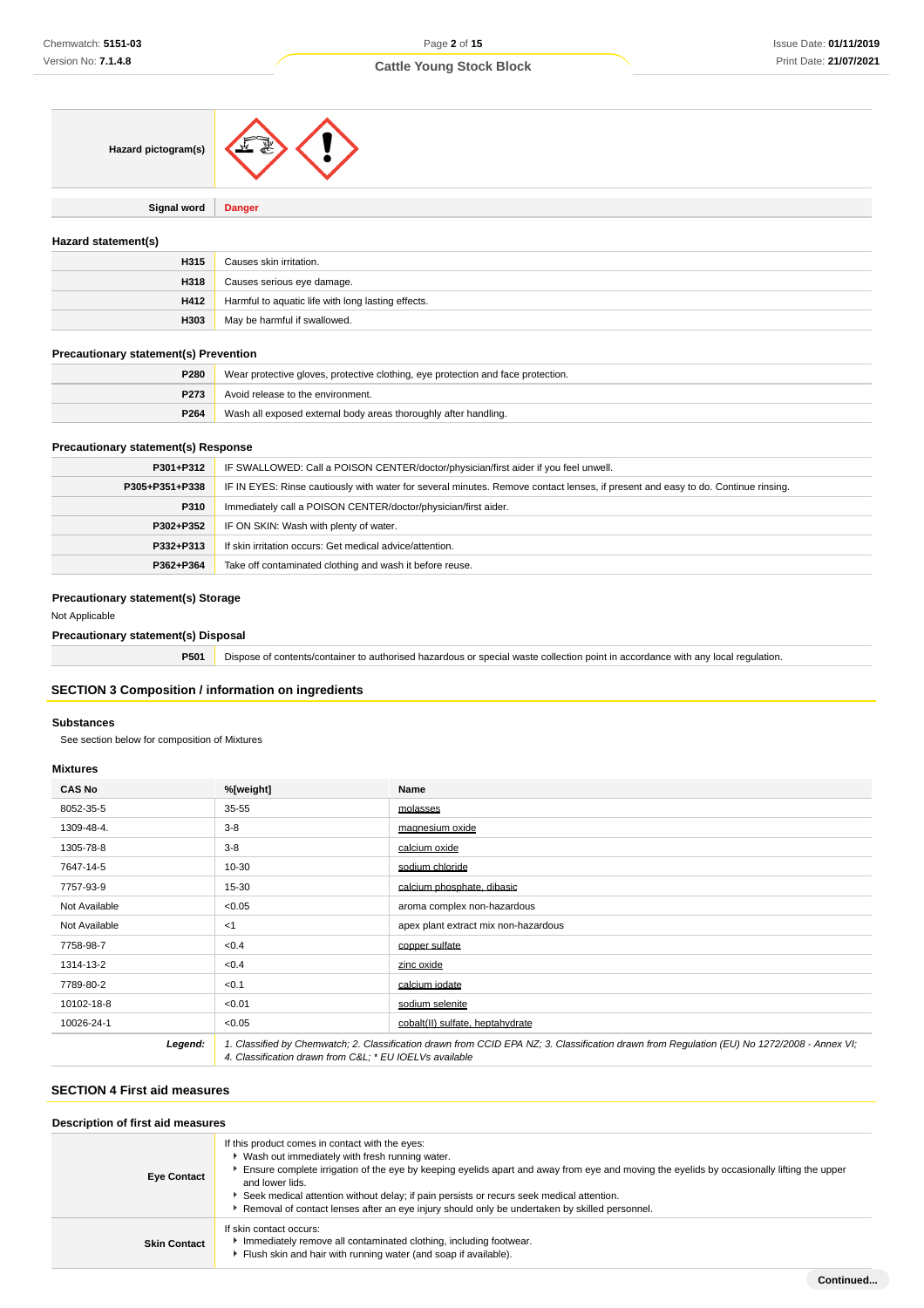| Hazard pictogram(s) |  |
|---------------------|--|
|                     |  |

**Signal word Danger**

### **Hazard statement(s)**

| H315 | Causes skin irritation.                            |
|------|----------------------------------------------------|
| H318 | Causes serious eye damage.                         |
| H412 | Harmful to aquatic life with long lasting effects. |
| H303 | May be harmful if swallowed.                       |

### **Precautionary statement(s) Prevention**

| P280             | Wear protective gloves, protective clothing, eye protection and face protection. |  |
|------------------|----------------------------------------------------------------------------------|--|
| P <sub>273</sub> | Avoid release to the environment.                                                |  |
| P264             | Wash all exposed external body areas thoroughly after handling.                  |  |

## **Precautionary statement(s) Response**

| P301+P312                                                              | IF SWALLOWED: Call a POISON CENTER/doctor/physician/first aider if you feel unwell.                                              |  |  |
|------------------------------------------------------------------------|----------------------------------------------------------------------------------------------------------------------------------|--|--|
| P305+P351+P338                                                         | IF IN EYES: Rinse cautiously with water for several minutes. Remove contact lenses, if present and easy to do. Continue rinsing. |  |  |
| Immediately call a POISON CENTER/doctor/physician/first aider.<br>P310 |                                                                                                                                  |  |  |
| IF ON SKIN: Wash with plenty of water.<br>P302+P352                    |                                                                                                                                  |  |  |
| If skin irritation occurs: Get medical advice/attention.<br>P332+P313  |                                                                                                                                  |  |  |
| P362+P364                                                              | Take off contaminated clothing and wash it before reuse.                                                                         |  |  |

## **Precautionary statement(s) Storage**

Not Applicable

### **Precautionary statement(s) Disposal**

| P501 | Dispose of contents/container to authorised hazardous or special waste collection point in accordance with any local regulation. |
|------|----------------------------------------------------------------------------------------------------------------------------------|
|      |                                                                                                                                  |

## **SECTION 3 Composition / information on ingredients**

#### **Substances**

See section below for composition of Mixtures

#### **Mixtures**

| <b>CAS No</b> | %[weight]                                                                                                                                                                                             | Name                                 |
|---------------|-------------------------------------------------------------------------------------------------------------------------------------------------------------------------------------------------------|--------------------------------------|
| 8052-35-5     | $35 - 55$                                                                                                                                                                                             | molasses                             |
| 1309-48-4.    | $3 - 8$                                                                                                                                                                                               | magnesium oxide                      |
| 1305-78-8     | $3-8$                                                                                                                                                                                                 | calcium oxide                        |
| 7647-14-5     | $10 - 30$                                                                                                                                                                                             | sodium chloride                      |
| 7757-93-9     | 15-30                                                                                                                                                                                                 | calcium phosphate, dibasic           |
| Not Available | < 0.05                                                                                                                                                                                                | aroma complex non-hazardous          |
| Not Available | $<$ 1                                                                                                                                                                                                 | apex plant extract mix non-hazardous |
| 7758-98-7     | <0.4                                                                                                                                                                                                  | copper sulfate                       |
| 1314-13-2     | < 0.4                                                                                                                                                                                                 | zinc oxide                           |
| 7789-80-2     | < 0.1                                                                                                                                                                                                 | calcium iodate                       |
| 10102-18-8    | < 0.01                                                                                                                                                                                                | sodium selenite                      |
| 10026-24-1    | < 0.05                                                                                                                                                                                                | cobalt(II) sulfate, heptahydrate     |
| Legend:       | 1. Classified by Chemwatch; 2. Classification drawn from CCID EPA NZ; 3. Classification drawn from Regulation (EU) No 1272/2008 - Annex VI;<br>4. Classification drawn from C&L * EU IOELVs available |                                      |

## **SECTION 4 First aid measures**

| Description of first aid measures |                                                                                                                                                                                                                                                                                                                                                                                                                                                                  |  |  |
|-----------------------------------|------------------------------------------------------------------------------------------------------------------------------------------------------------------------------------------------------------------------------------------------------------------------------------------------------------------------------------------------------------------------------------------------------------------------------------------------------------------|--|--|
| <b>Eye Contact</b>                | If this product comes in contact with the eyes:<br>▶ Wash out immediately with fresh running water.<br>Ensure complete irrigation of the eye by keeping eyelids apart and away from eye and moving the eyelids by occasionally lifting the upper<br>and lower lids.<br>Seek medical attention without delay; if pain persists or recurs seek medical attention.<br>Removal of contact lenses after an eye injury should only be undertaken by skilled personnel. |  |  |
| <b>Skin Contact</b>               | If skin contact occurs:<br>Immediately remove all contaminated clothing, including footwear.<br>Flush skin and hair with running water (and soap if available).                                                                                                                                                                                                                                                                                                  |  |  |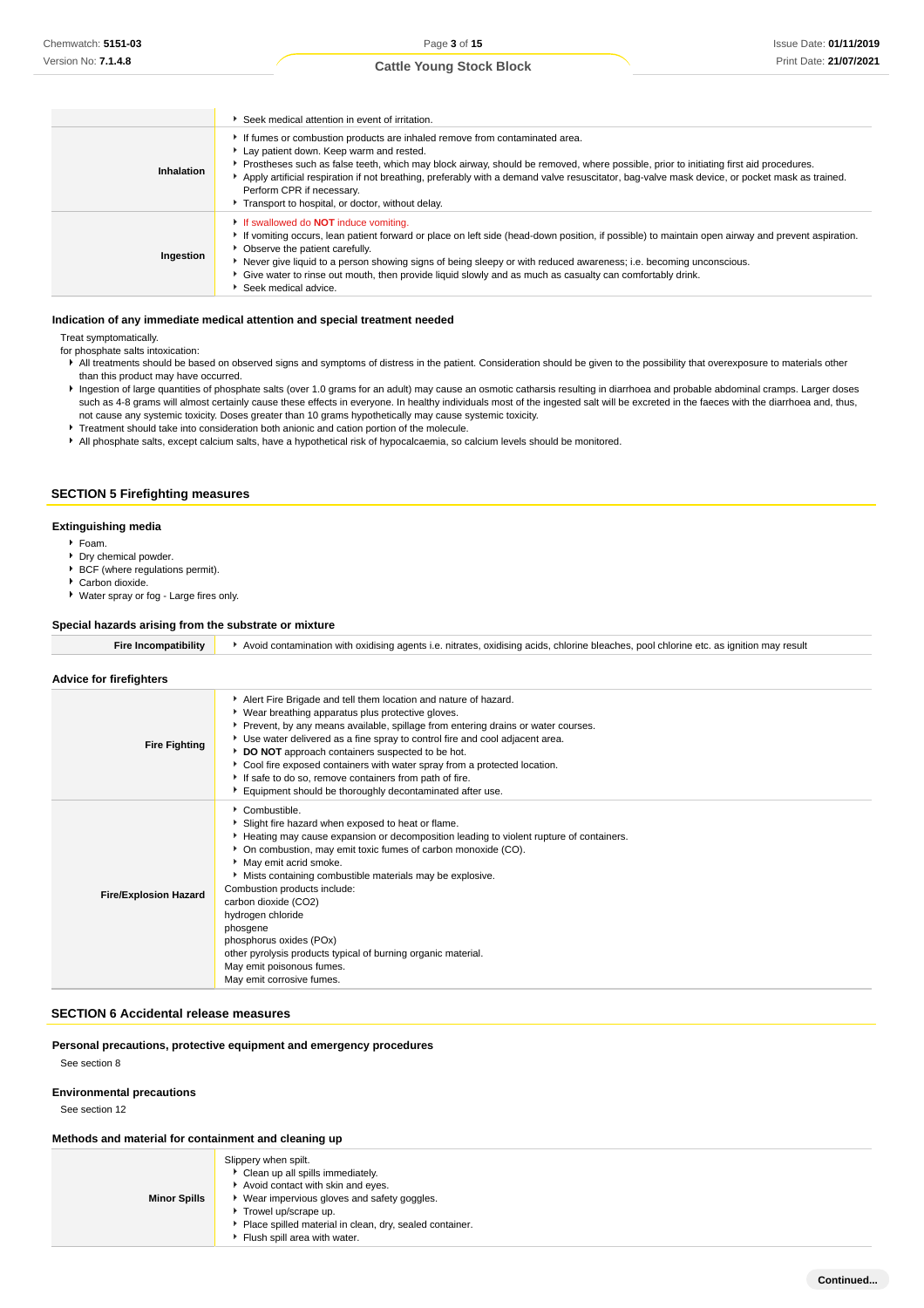|            | Seek medical attention in event of irritation.                                                                                                                                                                                                                                                                                                                                                                                                                                                  |
|------------|-------------------------------------------------------------------------------------------------------------------------------------------------------------------------------------------------------------------------------------------------------------------------------------------------------------------------------------------------------------------------------------------------------------------------------------------------------------------------------------------------|
| Inhalation | If fumes or combustion products are inhaled remove from contaminated area.<br>Lay patient down. Keep warm and rested.<br>Prostheses such as false teeth, which may block airway, should be removed, where possible, prior to initiating first aid procedures.<br>Apply artificial respiration if not breathing, preferably with a demand valve resuscitator, bag-valve mask device, or pocket mask as trained.<br>Perform CPR if necessary.<br>Transport to hospital, or doctor, without delay. |
| Ingestion  | If swallowed do <b>NOT</b> induce vomiting.<br>If vomiting occurs, lean patient forward or place on left side (head-down position, if possible) to maintain open airway and prevent aspiration.<br>• Observe the patient carefully.<br>Never give liquid to a person showing signs of being sleepy or with reduced awareness; i.e. becoming unconscious.<br>Give water to rinse out mouth, then provide liquid slowly and as much as casualty can comfortably drink.<br>Seek medical advice.    |

#### **Indication of any immediate medical attention and special treatment needed**

Treat symptomatically.

for phosphate salts intoxication:

- All treatments should be based on observed signs and symptoms of distress in the patient. Consideration should be given to the possibility that overexposure to materials other than this product may have occurred.
- Ingestion of large quantities of phosphate salts (over 1.0 grams for an adult) may cause an osmotic catharsis resulting in diarrhoea and probable abdominal cramps. Larger doses such as 4-8 grams will almost certainly cause these effects in everyone. In healthy individuals most of the ingested salt will be excreted in the faeces with the diarrhoea and, thus, not cause any systemic toxicity. Doses greater than 10 grams hypothetically may cause systemic toxicity.
- **Treatment should take into consideration both anionic and cation portion of the molecule.**
- All phosphate salts, except calcium salts, have a hypothetical risk of hypocalcaemia, so calcium levels should be monitored.

### **SECTION 5 Firefighting measures**

#### **Extinguishing media**

- Foam.
- Dry chemical powder.
- **BCF** (where regulations permit).
- Carbon dioxide.
- Water spray or fog Large fires only.

#### **Special hazards arising from the substrate or mixture**

| <b>Fire Incompatibility</b> |  |  | Avoid contamination with oxidising agents i.e. nitrates, oxidising acids, chlorine bleaches, pool chlorine etc. as ignition may result |
|-----------------------------|--|--|----------------------------------------------------------------------------------------------------------------------------------------|
|-----------------------------|--|--|----------------------------------------------------------------------------------------------------------------------------------------|

### **Advice for firefighters**

| <b>Fire Fighting</b>         | Alert Fire Brigade and tell them location and nature of hazard.<br>• Wear breathing apparatus plus protective gloves.<br>▶ Prevent, by any means available, spillage from entering drains or water courses.<br>▶ Use water delivered as a fine spray to control fire and cool adjacent area.<br>DO NOT approach containers suspected to be hot.<br>Cool fire exposed containers with water spray from a protected location.<br>If safe to do so, remove containers from path of fire.<br>Equipment should be thoroughly decontaminated after use.                 |
|------------------------------|-------------------------------------------------------------------------------------------------------------------------------------------------------------------------------------------------------------------------------------------------------------------------------------------------------------------------------------------------------------------------------------------------------------------------------------------------------------------------------------------------------------------------------------------------------------------|
| <b>Fire/Explosion Hazard</b> | Combustible.<br>Slight fire hazard when exposed to heat or flame.<br>Heating may cause expansion or decomposition leading to violent rupture of containers.<br>• On combustion, may emit toxic fumes of carbon monoxide (CO).<br>May emit acrid smoke.<br>Mists containing combustible materials may be explosive.<br>Combustion products include:<br>carbon dioxide (CO2)<br>hydrogen chloride<br>phosgene<br>phosphorus oxides (POx)<br>other pyrolysis products typical of burning organic material.<br>May emit poisonous fumes.<br>May emit corrosive fumes. |

### **SECTION 6 Accidental release measures**

**Personal precautions, protective equipment and emergency procedures**

See section 8

#### **Environmental precautions**

See section 12

#### **Methods and material for containment and cleaning up**

| <b>Minor Spills</b> | Slippery when spilt.<br>Clean up all spills immediately.<br>Avoid contact with skin and eyes.<br>▶ Wear impervious gloves and safety goggles.<br>Trowel up/scrape up.<br>Place spilled material in clean, dry, sealed container. |
|---------------------|----------------------------------------------------------------------------------------------------------------------------------------------------------------------------------------------------------------------------------|
|                     | Flush spill area with water.                                                                                                                                                                                                     |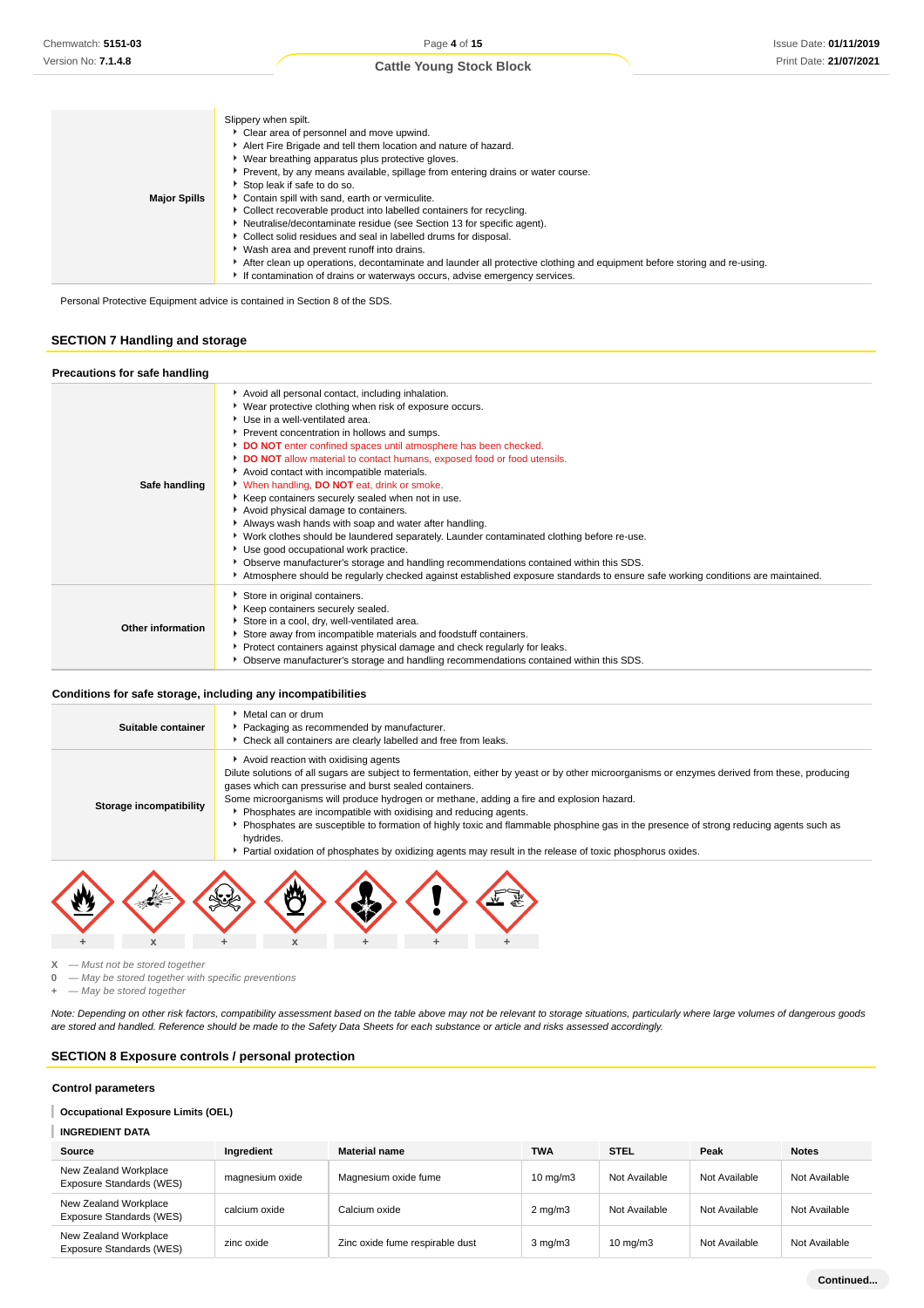|                     | Slippery when spilt.                                                                                                    |
|---------------------|-------------------------------------------------------------------------------------------------------------------------|
|                     | Clear area of personnel and move upwind.                                                                                |
|                     | Alert Fire Brigade and tell them location and nature of hazard.                                                         |
|                     | ▶ Wear breathing apparatus plus protective gloves.                                                                      |
|                     | ▶ Prevent, by any means available, spillage from entering drains or water course.                                       |
|                     | Stop leak if safe to do so.                                                                                             |
| <b>Major Spills</b> | Contain spill with sand, earth or vermiculite.                                                                          |
|                     | • Collect recoverable product into labelled containers for recycling.                                                   |
|                     | Neutralise/decontaminate residue (see Section 13 for specific agent).                                                   |
|                     | Collect solid residues and seal in labelled drums for disposal.                                                         |
|                     | ▶ Wash area and prevent runoff into drains.                                                                             |
|                     | After clean up operations, decontaminate and launder all protective clothing and equipment before storing and re-using. |
|                     | If contamination of drains or waterways occurs, advise emergency services.                                              |

Personal Protective Equipment advice is contained in Section 8 of the SDS.

### **SECTION 7 Handling and storage**

| Precautions for safe handling |                                                                                                                                                                                                                                                                                                                                                                                                                                                                                                                                                                                                                                                                                                                                                                                                                                                                                                                                                                            |
|-------------------------------|----------------------------------------------------------------------------------------------------------------------------------------------------------------------------------------------------------------------------------------------------------------------------------------------------------------------------------------------------------------------------------------------------------------------------------------------------------------------------------------------------------------------------------------------------------------------------------------------------------------------------------------------------------------------------------------------------------------------------------------------------------------------------------------------------------------------------------------------------------------------------------------------------------------------------------------------------------------------------|
| Safe handling                 | Avoid all personal contact, including inhalation.<br>▶ Wear protective clothing when risk of exposure occurs.<br>Use in a well-ventilated area.<br>Prevent concentration in hollows and sumps.<br>DO NOT enter confined spaces until atmosphere has been checked.<br>DO NOT allow material to contact humans, exposed food or food utensils.<br>Avoid contact with incompatible materials.<br>When handling, <b>DO NOT</b> eat, drink or smoke.<br>Keep containers securely sealed when not in use.<br>Avoid physical damage to containers.<br>Always wash hands with soap and water after handling.<br>▶ Work clothes should be laundered separately. Launder contaminated clothing before re-use.<br>Use good occupational work practice.<br>• Observe manufacturer's storage and handling recommendations contained within this SDS.<br>Atmosphere should be regularly checked against established exposure standards to ensure safe working conditions are maintained. |
| Other information             | Store in original containers.<br>Keep containers securely sealed.<br>Store in a cool, dry, well-ventilated area.<br>Store away from incompatible materials and foodstuff containers.<br>Protect containers against physical damage and check regularly for leaks.<br>• Observe manufacturer's storage and handling recommendations contained within this SDS.                                                                                                                                                                                                                                                                                                                                                                                                                                                                                                                                                                                                              |

#### **Conditions for safe storage, including any incompatibilities**

|                         | Packaging as recommended by manufacturer.<br>Check all containers are clearly labelled and free from leaks.                                                                                                                                                                                                                                                                                                                                                                                                                                                                                                                                                                           |  |
|-------------------------|---------------------------------------------------------------------------------------------------------------------------------------------------------------------------------------------------------------------------------------------------------------------------------------------------------------------------------------------------------------------------------------------------------------------------------------------------------------------------------------------------------------------------------------------------------------------------------------------------------------------------------------------------------------------------------------|--|
| Storage incompatibility | Avoid reaction with oxidising agents<br>Dilute solutions of all sugars are subject to fermentation, either by yeast or by other microorganisms or enzymes derived from these, producing<br>gases which can pressurise and burst sealed containers.<br>Some microorganisms will produce hydrogen or methane, adding a fire and explosion hazard.<br>Phosphates are incompatible with oxidising and reducing agents.<br>Phosphates are susceptible to formation of highly toxic and flammable phosphine gas in the presence of strong reducing agents such as<br>hydrides.<br>Partial oxidation of phosphates by oxidizing agents may result in the release of toxic phosphorus oxides. |  |



 $X - M$ ust not be stored together<br>0  $-M$ av be stored together with

**0** — May be stored together with specific preventions

**+** — May be stored together

Note: Depending on other risk factors, compatibility assessment based on the table above may not be relevant to storage situations, particularly where large volumes of dangerous goods are stored and handled. Reference should be made to the Safety Data Sheets for each substance or article and risks assessed accordingly.

### **SECTION 8 Exposure controls / personal protection**

#### **Control parameters**

### **Occupational Exposure Limits (OEL)**

### **INGREDIENT DATA**

| Source                                            | Ingredient      | <b>Material name</b>            | <b>TWA</b>        | <b>STEL</b>       | Peak          | <b>Notes</b>  |
|---------------------------------------------------|-----------------|---------------------------------|-------------------|-------------------|---------------|---------------|
| New Zealand Workplace<br>Exposure Standards (WES) | magnesium oxide | Magnesium oxide fume            | $10 \text{ mg/m}$ | Not Available     | Not Available | Not Available |
| New Zealand Workplace<br>Exposure Standards (WES) | calcium oxide   | Calcium oxide                   | $2 \text{ mg/m}$  | Not Available     | Not Available | Not Available |
| New Zealand Workplace<br>Exposure Standards (WES) | zinc oxide      | Zinc oxide fume respirable dust | $3$ mg/m $3$      | $10 \text{ mg/m}$ | Not Available | Not Available |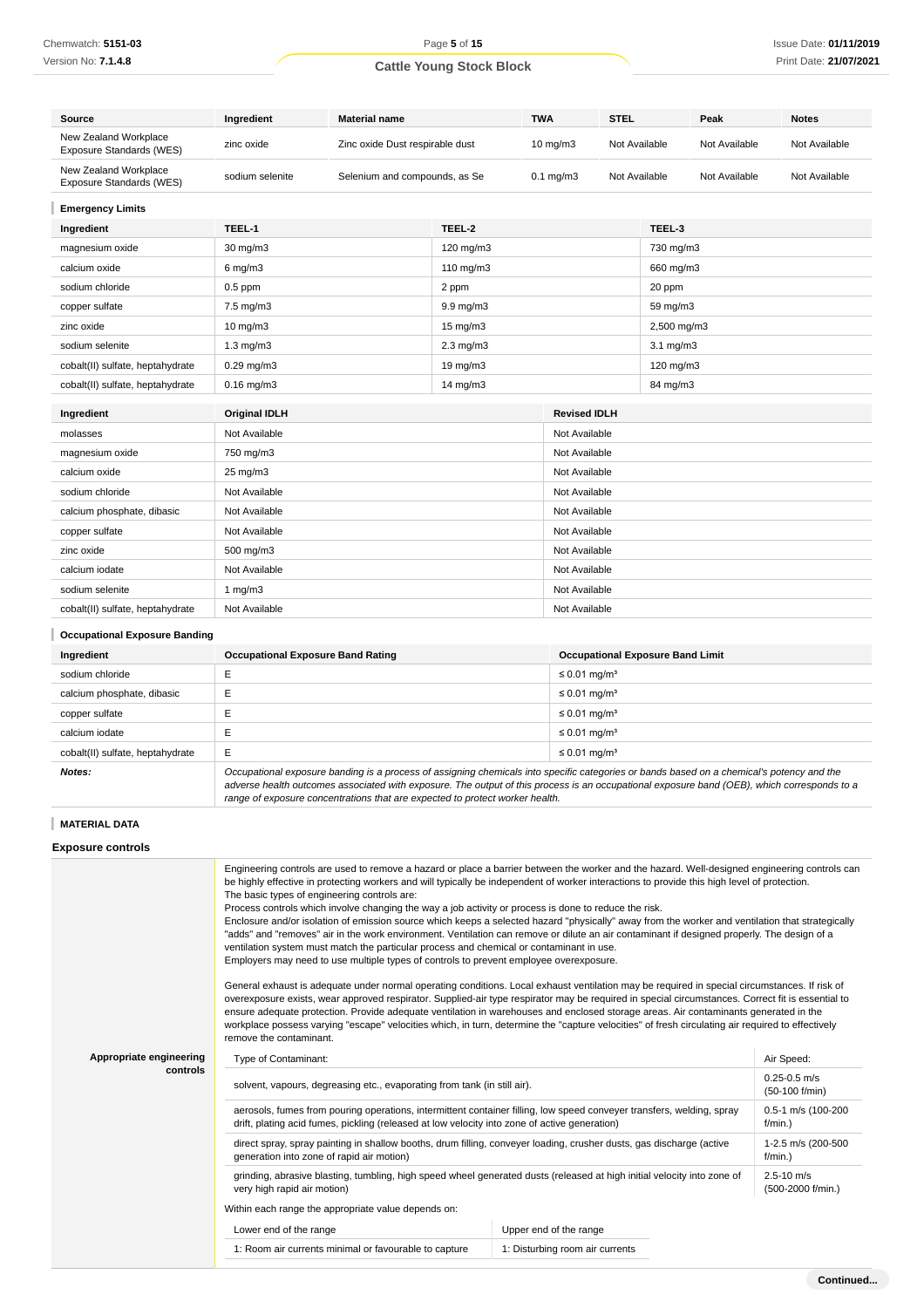Chemwatch: **5151-03** Version No: **7.1.4.8**

# Page **5** of **15 Cattle Young Stock Block**

| <b>Source</b>                                     | Ingredient                               | <b>Material name</b>            |                   | <b>TWA</b>                     | <b>STEL</b>   |                                         | Peak          | <b>Notes</b>  |
|---------------------------------------------------|------------------------------------------|---------------------------------|-------------------|--------------------------------|---------------|-----------------------------------------|---------------|---------------|
| New Zealand Workplace<br>Exposure Standards (WES) | zinc oxide                               | Zinc oxide Dust respirable dust |                   | $10$ mg/m $3$                  | Not Available |                                         | Not Available | Not Available |
| New Zealand Workplace<br>Exposure Standards (WES) | sodium selenite                          | Selenium and compounds, as Se   |                   | $0.1$ mg/m $3$                 | Not Available |                                         | Not Available | Not Available |
| <b>Emergency Limits</b>                           |                                          |                                 |                   |                                |               |                                         |               |               |
| Ingredient                                        | TEEL-1                                   |                                 | TEEL-2            |                                |               | TEEL-3                                  |               |               |
| magnesium oxide                                   | 30 mg/m3                                 |                                 | 120 mg/m3         |                                | 730 mg/m3     |                                         |               |               |
| calcium oxide                                     | $6$ mg/m $3$                             |                                 | 110 mg/m3         |                                |               | 660 mg/m3                               |               |               |
| sodium chloride                                   | $0.5$ ppm                                |                                 | 2 ppm             |                                |               | 20 ppm                                  |               |               |
| copper sulfate                                    | 7.5 mg/m3                                |                                 | 9.9 mg/m3         |                                |               | 59 mg/m3                                |               |               |
| zinc oxide                                        | $10 \text{ mg/m}$                        |                                 | $15 \text{ mg/m}$ |                                |               | 2,500 mg/m3                             |               |               |
| sodium selenite                                   | $1.3$ mg/m $3$                           |                                 | $2.3$ mg/m $3$    |                                |               | $3.1 \text{ mg/m}$                      |               |               |
| cobalt(II) sulfate, heptahydrate                  | $0.29$ mg/m $3$<br>19 mg/m3              |                                 |                   | 120 mg/m3                      |               |                                         |               |               |
| cobalt(II) sulfate, heptahydrate                  | $0.16$ mg/m $3$<br>14 mg/m3              |                                 |                   | 84 mg/m3                       |               |                                         |               |               |
| Ingredient                                        | <b>Original IDLH</b>                     |                                 |                   | <b>Revised IDLH</b>            |               |                                         |               |               |
|                                                   | Not Available                            |                                 |                   | Not Available                  |               |                                         |               |               |
| molasses                                          |                                          |                                 |                   |                                |               |                                         |               |               |
| magnesium oxide                                   | 750 mg/m3                                |                                 |                   | Not Available<br>Not Available |               |                                         |               |               |
| calcium oxide                                     |                                          | 25 mg/m3                        |                   |                                |               |                                         |               |               |
| sodium chloride                                   | Not Available                            |                                 |                   |                                | Not Available |                                         |               |               |
| calcium phosphate, dibasic                        | Not Available                            |                                 |                   | Not Available                  |               |                                         |               |               |
| copper sulfate                                    |                                          | Not Available                   |                   | Not Available                  |               |                                         |               |               |
| zinc oxide                                        | 500 mg/m3                                |                                 |                   | Not Available                  |               |                                         |               |               |
| calcium iodate                                    | Not Available                            |                                 | Not Available     |                                |               |                                         |               |               |
| sodium selenite                                   | 1 $mg/m3$                                |                                 |                   | Not Available                  |               |                                         |               |               |
| cobalt(II) sulfate, heptahydrate                  | Not Available                            |                                 |                   | Not Available                  |               |                                         |               |               |
| <b>Occupational Exposure Banding</b>              |                                          |                                 |                   |                                |               |                                         |               |               |
| Ingredient                                        | <b>Occupational Exposure Band Rating</b> |                                 |                   |                                |               | <b>Occupational Exposure Band Limit</b> |               |               |

| Ingredient                       | <b>Occupational Exposure Band Rating</b>                                                                                                                                                                                                                                                 | <b>Occupational Exposure Band Limit</b> |  |
|----------------------------------|------------------------------------------------------------------------------------------------------------------------------------------------------------------------------------------------------------------------------------------------------------------------------------------|-----------------------------------------|--|
| sodium chloride                  |                                                                                                                                                                                                                                                                                          | $\leq$ 0.01 mg/m <sup>3</sup>           |  |
| calcium phosphate, dibasic       |                                                                                                                                                                                                                                                                                          | $\leq$ 0.01 mg/m <sup>3</sup>           |  |
| copper sulfate                   |                                                                                                                                                                                                                                                                                          | $\leq$ 0.01 mg/m <sup>3</sup>           |  |
| calcium iodate                   |                                                                                                                                                                                                                                                                                          | $\leq$ 0.01 mg/m <sup>3</sup>           |  |
| cobalt(II) sulfate, heptahydrate | E                                                                                                                                                                                                                                                                                        | $\leq$ 0.01 mg/m <sup>3</sup>           |  |
| Notes:                           | Occupational exposure banding is a process of assigning chemicals into specific categories or bands based on a chemical's potency and the<br>adverse health outcomes associated with exposure. The output of this process is an occupational exposure band (OEB), which corresponds to a |                                         |  |

range of exposure concentrations that are expected to protect worker health.

## **MATERIAL DATA**

## **Exposure controls**

|                                                                                          | Engineering controls are used to remove a hazard or place a barrier between the worker and the hazard. Well-designed engineering controls can<br>be highly effective in protecting workers and will typically be independent of worker interactions to provide this high level of protection.<br>The basic types of engineering controls are:<br>Process controls which involve changing the way a job activity or process is done to reduce the risk.<br>Enclosure and/or isolation of emission source which keeps a selected hazard "physically" away from the worker and ventilation that strategically<br>"adds" and "removes" air in the work environment. Ventilation can remove or dilute an air contaminant if designed properly. The design of a<br>ventilation system must match the particular process and chemical or contaminant in use.<br>Employers may need to use multiple types of controls to prevent employee overexposure.<br>General exhaust is adequate under normal operating conditions. Local exhaust ventilation may be required in special circumstances. If risk of<br>overexposure exists, wear approved respirator. Supplied-air type respirator may be required in special circumstances. Correct fit is essential to<br>ensure adequate protection. Provide adequate ventilation in warehouses and enclosed storage areas. Air contaminants generated in the<br>workplace possess varying "escape" velocities which, in turn, determine the "capture velocities" of fresh circulating air required to effectively<br>remove the contaminant. |                                    |                                     |  |
|------------------------------------------------------------------------------------------|-------------------------------------------------------------------------------------------------------------------------------------------------------------------------------------------------------------------------------------------------------------------------------------------------------------------------------------------------------------------------------------------------------------------------------------------------------------------------------------------------------------------------------------------------------------------------------------------------------------------------------------------------------------------------------------------------------------------------------------------------------------------------------------------------------------------------------------------------------------------------------------------------------------------------------------------------------------------------------------------------------------------------------------------------------------------------------------------------------------------------------------------------------------------------------------------------------------------------------------------------------------------------------------------------------------------------------------------------------------------------------------------------------------------------------------------------------------------------------------------------------------------------------------------------------------------------------|------------------------------------|-------------------------------------|--|
| Appropriate engineering                                                                  | Type of Contaminant:                                                                                                                                                                                                                                                                                                                                                                                                                                                                                                                                                                                                                                                                                                                                                                                                                                                                                                                                                                                                                                                                                                                                                                                                                                                                                                                                                                                                                                                                                                                                                          |                                    | Air Speed:                          |  |
| controls                                                                                 | solvent, vapours, degreasing etc., evaporating from tank (in still air).                                                                                                                                                                                                                                                                                                                                                                                                                                                                                                                                                                                                                                                                                                                                                                                                                                                                                                                                                                                                                                                                                                                                                                                                                                                                                                                                                                                                                                                                                                      | $0.25 - 0.5$ m/s<br>(50-100 f/min) |                                     |  |
|                                                                                          | aerosols, fumes from pouring operations, intermittent container filling, low speed conveyer transfers, welding, spray<br>drift, plating acid fumes, pickling (released at low velocity into zone of active generation)                                                                                                                                                                                                                                                                                                                                                                                                                                                                                                                                                                                                                                                                                                                                                                                                                                                                                                                                                                                                                                                                                                                                                                                                                                                                                                                                                        | 0.5-1 m/s (100-200<br>$f/min.$ )   |                                     |  |
|                                                                                          | direct spray, spray painting in shallow booths, drum filling, conveyer loading, crusher dusts, gas discharge (active<br>generation into zone of rapid air motion)                                                                                                                                                                                                                                                                                                                                                                                                                                                                                                                                                                                                                                                                                                                                                                                                                                                                                                                                                                                                                                                                                                                                                                                                                                                                                                                                                                                                             | 1-2.5 m/s (200-500<br>$f/min.$ )   |                                     |  |
|                                                                                          | grinding, abrasive blasting, tumbling, high speed wheel generated dusts (released at high initial velocity into zone of<br>very high rapid air motion)                                                                                                                                                                                                                                                                                                                                                                                                                                                                                                                                                                                                                                                                                                                                                                                                                                                                                                                                                                                                                                                                                                                                                                                                                                                                                                                                                                                                                        |                                    | $2.5 - 10$ m/s<br>(500-2000 f/min.) |  |
|                                                                                          | Within each range the appropriate value depends on:                                                                                                                                                                                                                                                                                                                                                                                                                                                                                                                                                                                                                                                                                                                                                                                                                                                                                                                                                                                                                                                                                                                                                                                                                                                                                                                                                                                                                                                                                                                           |                                    |                                     |  |
|                                                                                          | Lower end of the range                                                                                                                                                                                                                                                                                                                                                                                                                                                                                                                                                                                                                                                                                                                                                                                                                                                                                                                                                                                                                                                                                                                                                                                                                                                                                                                                                                                                                                                                                                                                                        | Upper end of the range             |                                     |  |
| 1: Room air currents minimal or favourable to capture<br>1: Disturbing room air currents |                                                                                                                                                                                                                                                                                                                                                                                                                                                                                                                                                                                                                                                                                                                                                                                                                                                                                                                                                                                                                                                                                                                                                                                                                                                                                                                                                                                                                                                                                                                                                                               |                                    |                                     |  |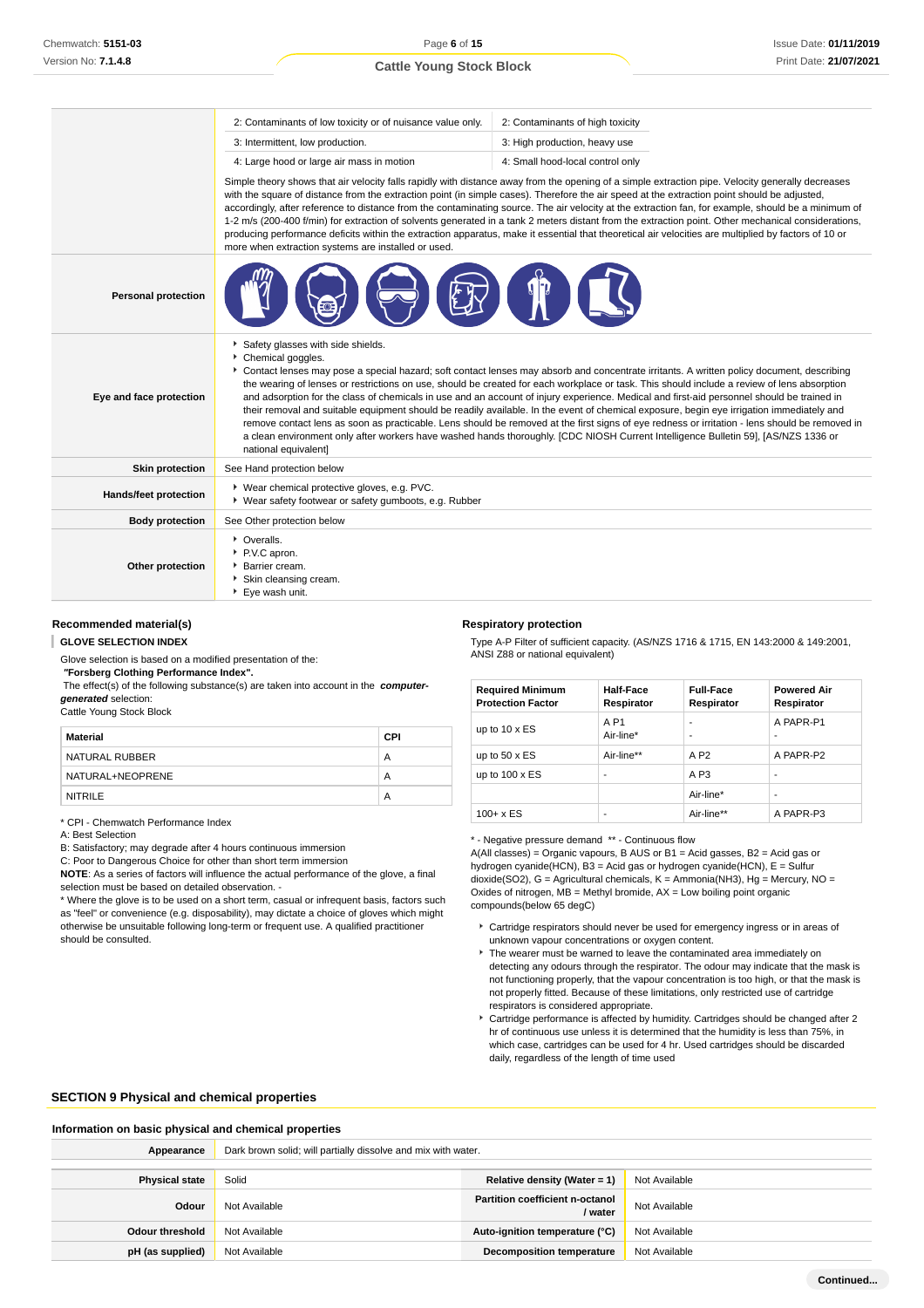|                              | 2: Contaminants of low toxicity or of nuisance value only.                                                                                                                                                                                                                                                                                                                                                                                                                                                                                                                                                                                                                                                                                                                                                                                                                                                                                                    | 2: Contaminants of high toxicity |  |
|------------------------------|---------------------------------------------------------------------------------------------------------------------------------------------------------------------------------------------------------------------------------------------------------------------------------------------------------------------------------------------------------------------------------------------------------------------------------------------------------------------------------------------------------------------------------------------------------------------------------------------------------------------------------------------------------------------------------------------------------------------------------------------------------------------------------------------------------------------------------------------------------------------------------------------------------------------------------------------------------------|----------------------------------|--|
|                              | 3: Intermittent, low production.                                                                                                                                                                                                                                                                                                                                                                                                                                                                                                                                                                                                                                                                                                                                                                                                                                                                                                                              | 3: High production, heavy use    |  |
|                              | 4: Large hood or large air mass in motion                                                                                                                                                                                                                                                                                                                                                                                                                                                                                                                                                                                                                                                                                                                                                                                                                                                                                                                     | 4: Small hood-local control only |  |
|                              | Simple theory shows that air velocity falls rapidly with distance away from the opening of a simple extraction pipe. Velocity generally decreases<br>with the square of distance from the extraction point (in simple cases). Therefore the air speed at the extraction point should be adjusted,<br>accordingly, after reference to distance from the contaminating source. The air velocity at the extraction fan, for example, should be a minimum of<br>1-2 m/s (200-400 f/min) for extraction of solvents generated in a tank 2 meters distant from the extraction point. Other mechanical considerations,<br>producing performance deficits within the extraction apparatus, make it essential that theoretical air velocities are multiplied by factors of 10 or<br>more when extraction systems are installed or used.                                                                                                                                |                                  |  |
| <b>Personal protection</b>   |                                                                                                                                                                                                                                                                                                                                                                                                                                                                                                                                                                                                                                                                                                                                                                                                                                                                                                                                                               |                                  |  |
| Eye and face protection      | Safety glasses with side shields.<br>Chemical goggles.<br>Contact lenses may pose a special hazard; soft contact lenses may absorb and concentrate irritants. A written policy document, describing<br>the wearing of lenses or restrictions on use, should be created for each workplace or task. This should include a review of lens absorption<br>and adsorption for the class of chemicals in use and an account of injury experience. Medical and first-aid personnel should be trained in<br>their removal and suitable equipment should be readily available. In the event of chemical exposure, begin eye irrigation immediately and<br>remove contact lens as soon as practicable. Lens should be removed at the first signs of eye redness or irritation - lens should be removed in<br>a clean environment only after workers have washed hands thoroughly. [CDC NIOSH Current Intelligence Bulletin 59], [AS/NZS 1336 or<br>national equivalent] |                                  |  |
| <b>Skin protection</b>       | See Hand protection below                                                                                                                                                                                                                                                                                                                                                                                                                                                                                                                                                                                                                                                                                                                                                                                                                                                                                                                                     |                                  |  |
| <b>Hands/feet protection</b> | ▶ Wear chemical protective gloves, e.g. PVC.<br>• Wear safety footwear or safety gumboots, e.g. Rubber                                                                                                                                                                                                                                                                                                                                                                                                                                                                                                                                                                                                                                                                                                                                                                                                                                                        |                                  |  |
| <b>Body protection</b>       | See Other protection below                                                                                                                                                                                                                                                                                                                                                                                                                                                                                                                                                                                                                                                                                                                                                                                                                                                                                                                                    |                                  |  |
| Other protection             | • Overalls.<br>P.V.C apron.<br>Barrier cream.<br>Skin cleansing cream.<br>▶ Eye wash unit.                                                                                                                                                                                                                                                                                                                                                                                                                                                                                                                                                                                                                                                                                                                                                                                                                                                                    |                                  |  |

#### **Recommended material(s)**

I **GLOVE SELECTION INDEX**

Glove selection is based on a modified presentation of the:

 **"Forsberg Clothing Performance Index".**

 The effect(s) of the following substance(s) are taken into account in the **computergenerated** selection:

Cattle Young Stock Block

| Material         | CPI |
|------------------|-----|
| NATURAL RUBBER   | А   |
| NATURAL+NEOPRENE | А   |
| <b>NITRILE</b>   | А   |

\* CPI - Chemwatch Performance Index

A: Best Selection

B: Satisfactory; may degrade after 4 hours continuous immersion

C: Poor to Dangerous Choice for other than short term immersion

**NOTE**: As a series of factors will influence the actual performance of the glove, a final selection must be based on detailed observation. -

\* Where the glove is to be used on a short term, casual or infrequent basis, factors such as "feel" or convenience (e.g. disposability), may dictate a choice of gloves which might otherwise be unsuitable following long-term or frequent use. A qualified practitioner should be consulted.

#### **Respiratory protection**

Type A-P Filter of sufficient capacity. (AS/NZS 1716 & 1715, EN 143:2000 & 149:2001, ANSI Z88 or national equivalent)

| <b>Required Minimum</b><br><b>Protection Factor</b> | Half-Face<br>Respirator | <b>Full-Face</b><br>Respirator | <b>Powered Air</b><br>Respirator |
|-----------------------------------------------------|-------------------------|--------------------------------|----------------------------------|
| up to $10 \times ES$                                | A P1<br>Air-line*       | -<br>-                         | A PAPR-P1<br>-                   |
| up to $50 \times ES$                                | Air-line**              | A P <sub>2</sub>               | A PAPR-P2                        |
| up to $100 \times ES$                               | -                       | A <sub>P3</sub>                | -                                |
|                                                     |                         | Air-line*                      | -                                |
| $100 + x ES$                                        | ۰                       | Air-line**                     | A PAPR-P3                        |

\* - Negative pressure demand \*\* - Continuous flow

A(All classes) = Organic vapours, B AUS or B1 = Acid gasses, B2 = Acid gas or hydrogen cyanide(HCN), B3 = Acid gas or hydrogen cyanide(HCN), E = Sulfur dioxide(SO2), G = Agricultural chemicals, K = Ammonia(NH3), Hg = Mercury, NO = Oxides of nitrogen,  $MB =$  Methyl bromide,  $AX =$  Low boiling point organic compounds(below 65 degC)

- Cartridge respirators should never be used for emergency ingress or in areas of unknown vapour concentrations or oxygen content.
- $\blacktriangleright$  The wearer must be warned to leave the contaminated area immediately on detecting any odours through the respirator. The odour may indicate that the mask is not functioning properly, that the vapour concentration is too high, or that the mask is not properly fitted. Because of these limitations, only restricted use of cartridge respirators is considered appropriate.
- Cartridge performance is affected by humidity. Cartridges should be changed after 2 hr of continuous use unless it is determined that the humidity is less than 75%, in which case, cartridges can be used for 4 hr. Used cartridges should be discarded daily, regardless of the length of time used

#### **SECTION 9 Physical and chemical properties**

**Information on basic physical and chemical properties Appearance** Dark brown solid; will partially dissolve and mix with water. **Physical state** Solid **Relative density (Water = 1)** Not Available **Odour** Not Available **Partition coefficient n-octanol**<br>**Partition coefficient n-octanol / water** Not Available **Odour threshold** Not Available **Auto-ignition temperature (°C)** Not Available **pH (as supplied)** Not Available **Decomposition temperature** Not Available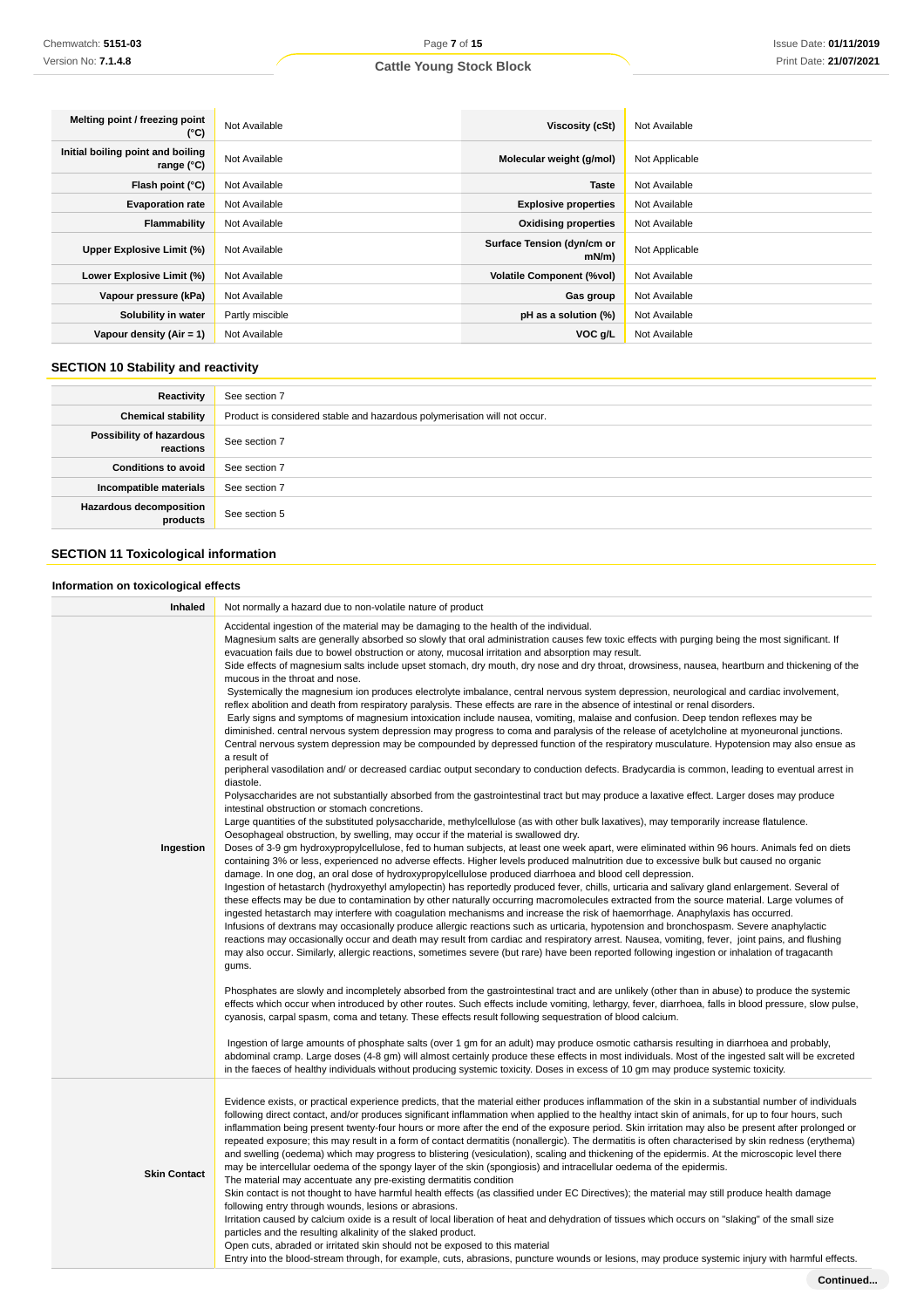| Melting point / freezing point<br>(°C)          | Not Available   | Viscosity (cSt)                        | Not Available  |
|-------------------------------------------------|-----------------|----------------------------------------|----------------|
| Initial boiling point and boiling<br>range (°C) | Not Available   | Molecular weight (g/mol)               | Not Applicable |
| Flash point (°C)                                | Not Available   | <b>Taste</b>                           | Not Available  |
| <b>Evaporation rate</b>                         | Not Available   | <b>Explosive properties</b>            | Not Available  |
| Flammability                                    | Not Available   | <b>Oxidising properties</b>            | Not Available  |
| Upper Explosive Limit (%)                       | Not Available   | Surface Tension (dyn/cm or<br>$mN/m$ ) | Not Applicable |
| Lower Explosive Limit (%)                       | Not Available   | <b>Volatile Component (%vol)</b>       | Not Available  |
| Vapour pressure (kPa)                           | Not Available   | Gas group                              | Not Available  |
| Solubility in water                             | Partly miscible | pH as a solution (%)                   | Not Available  |
| Vapour density $(Air = 1)$                      | Not Available   | VOC g/L                                | Not Available  |

## **SECTION 10 Stability and reactivity**

| Reactivity                                 | See section 7                                                             |
|--------------------------------------------|---------------------------------------------------------------------------|
| <b>Chemical stability</b>                  | Product is considered stable and hazardous polymerisation will not occur. |
| Possibility of hazardous<br>reactions      | See section 7                                                             |
| <b>Conditions to avoid</b>                 | See section 7                                                             |
| Incompatible materials                     | See section 7                                                             |
| <b>Hazardous decomposition</b><br>products | See section 5                                                             |

## **SECTION 11 Toxicological information**

# **Information on toxicological effects**

| Inhaled             | Not normally a hazard due to non-volatile nature of product                                                                                                                                                                                                                                                                                                                                                                                                                                                                                                                                                                                                                                                                                                                                                                                                                                                                                                                                                                                                                                                                                                                                                                                                                                                                                                                                                                                                                                                                                                                                                                                                                                                                                                                                                                                                                                                                                                                                                                                                                                                                                                                                                                                                                                                                                                                                                                                                                                                                                                                                                                                                                                                                                                                                                                                                                                                                                                                                                                                                                                                                                                                                                                                                                                                                                                                                                                                                                                                                                                                                                                                                                                                                                                                                                                                                                                                                                                                                                       |
|---------------------|-------------------------------------------------------------------------------------------------------------------------------------------------------------------------------------------------------------------------------------------------------------------------------------------------------------------------------------------------------------------------------------------------------------------------------------------------------------------------------------------------------------------------------------------------------------------------------------------------------------------------------------------------------------------------------------------------------------------------------------------------------------------------------------------------------------------------------------------------------------------------------------------------------------------------------------------------------------------------------------------------------------------------------------------------------------------------------------------------------------------------------------------------------------------------------------------------------------------------------------------------------------------------------------------------------------------------------------------------------------------------------------------------------------------------------------------------------------------------------------------------------------------------------------------------------------------------------------------------------------------------------------------------------------------------------------------------------------------------------------------------------------------------------------------------------------------------------------------------------------------------------------------------------------------------------------------------------------------------------------------------------------------------------------------------------------------------------------------------------------------------------------------------------------------------------------------------------------------------------------------------------------------------------------------------------------------------------------------------------------------------------------------------------------------------------------------------------------------------------------------------------------------------------------------------------------------------------------------------------------------------------------------------------------------------------------------------------------------------------------------------------------------------------------------------------------------------------------------------------------------------------------------------------------------------------------------------------------------------------------------------------------------------------------------------------------------------------------------------------------------------------------------------------------------------------------------------------------------------------------------------------------------------------------------------------------------------------------------------------------------------------------------------------------------------------------------------------------------------------------------------------------------------------------------------------------------------------------------------------------------------------------------------------------------------------------------------------------------------------------------------------------------------------------------------------------------------------------------------------------------------------------------------------------------------------------------------------------------------------------------------------------------|
| Ingestion           | Accidental ingestion of the material may be damaging to the health of the individual.<br>Magnesium salts are generally absorbed so slowly that oral administration causes few toxic effects with purging being the most significant. If<br>evacuation fails due to bowel obstruction or atony, mucosal irritation and absorption may result.<br>Side effects of magnesium salts include upset stomach, dry mouth, dry nose and dry throat, drowsiness, nausea, heartburn and thickening of the<br>mucous in the throat and nose.<br>Systemically the magnesium ion produces electrolyte imbalance, central nervous system depression, neurological and cardiac involvement,<br>reflex abolition and death from respiratory paralysis. These effects are rare in the absence of intestinal or renal disorders.<br>Early signs and symptoms of magnesium intoxication include nausea, vomiting, malaise and confusion. Deep tendon reflexes may be<br>diminished. central nervous system depression may progress to coma and paralysis of the release of acetylcholine at myoneuronal junctions.<br>Central nervous system depression may be compounded by depressed function of the respiratory musculature. Hypotension may also ensue as<br>a result of<br>peripheral vasodilation and/ or decreased cardiac output secondary to conduction defects. Bradycardia is common, leading to eventual arrest in<br>diastole.<br>Polysaccharides are not substantially absorbed from the gastrointestinal tract but may produce a laxative effect. Larger doses may produce<br>intestinal obstruction or stomach concretions.<br>Large quantities of the substituted polysaccharide, methylcellulose (as with other bulk laxatives), may temporarily increase flatulence.<br>Oesophageal obstruction, by swelling, may occur if the material is swallowed dry.<br>Doses of 3-9 gm hydroxypropylcellulose, fed to human subjects, at least one week apart, were eliminated within 96 hours. Animals fed on diets<br>containing 3% or less, experienced no adverse effects. Higher levels produced malnutrition due to excessive bulk but caused no organic<br>damage. In one dog, an oral dose of hydroxypropylcellulose produced diarrhoea and blood cell depression.<br>Ingestion of hetastarch (hydroxyethyl amylopectin) has reportedly produced fever, chills, urticaria and salivary gland enlargement. Several of<br>these effects may be due to contamination by other naturally occurring macromolecules extracted from the source material. Large volumes of<br>ingested hetastarch may interfere with coagulation mechanisms and increase the risk of haemorrhage. Anaphylaxis has occurred.<br>Infusions of dextrans may occasionally produce allergic reactions such as urticaria, hypotension and bronchospasm. Severe anaphylactic<br>reactions may occasionally occur and death may result from cardiac and respiratory arrest. Nausea, vomiting, fever, joint pains, and flushing<br>may also occur. Similarly, allergic reactions, sometimes severe (but rare) have been reported following ingestion or inhalation of tragacanth<br>gums.<br>Phosphates are slowly and incompletely absorbed from the gastrointestinal tract and are unlikely (other than in abuse) to produce the systemic<br>effects which occur when introduced by other routes. Such effects include vomiting, lethargy, fever, diarrhoea, falls in blood pressure, slow pulse,<br>cyanosis, carpal spasm, coma and tetany. These effects result following sequestration of blood calcium.<br>Ingestion of large amounts of phosphate salts (over 1 gm for an adult) may produce osmotic catharsis resulting in diarrhoea and probably,<br>abdominal cramp. Large doses (4-8 gm) will almost certainly produce these effects in most individuals. Most of the ingested salt will be excreted<br>in the faeces of healthy individuals without producing systemic toxicity. Doses in excess of 10 gm may produce systemic toxicity. |
| <b>Skin Contact</b> | Evidence exists, or practical experience predicts, that the material either produces inflammation of the skin in a substantial number of individuals<br>following direct contact, and/or produces significant inflammation when applied to the healthy intact skin of animals, for up to four hours, such<br>inflammation being present twenty-four hours or more after the end of the exposure period. Skin irritation may also be present after prolonged or<br>repeated exposure; this may result in a form of contact dermatitis (nonallergic). The dermatitis is often characterised by skin redness (erythema)<br>and swelling (oedema) which may progress to blistering (vesiculation), scaling and thickening of the epidermis. At the microscopic level there<br>may be intercellular oedema of the spongy layer of the skin (spongiosis) and intracellular oedema of the epidermis.<br>The material may accentuate any pre-existing dermatitis condition<br>Skin contact is not thought to have harmful health effects (as classified under EC Directives); the material may still produce health damage<br>following entry through wounds, lesions or abrasions.<br>Irritation caused by calcium oxide is a result of local liberation of heat and dehydration of tissues which occurs on "slaking" of the small size<br>particles and the resulting alkalinity of the slaked product.<br>Open cuts, abraded or irritated skin should not be exposed to this material<br>Entry into the blood-stream through, for example, cuts, abrasions, puncture wounds or lesions, may produce systemic injury with harmful effects.                                                                                                                                                                                                                                                                                                                                                                                                                                                                                                                                                                                                                                                                                                                                                                                                                                                                                                                                                                                                                                                                                                                                                                                                                                                                                                                                                                                                                                                                                                                                                                                                                                                                                                                                                                                                                                                                                                                                                                                                                                                                                                                                                                                                                                                                                                                                                                              |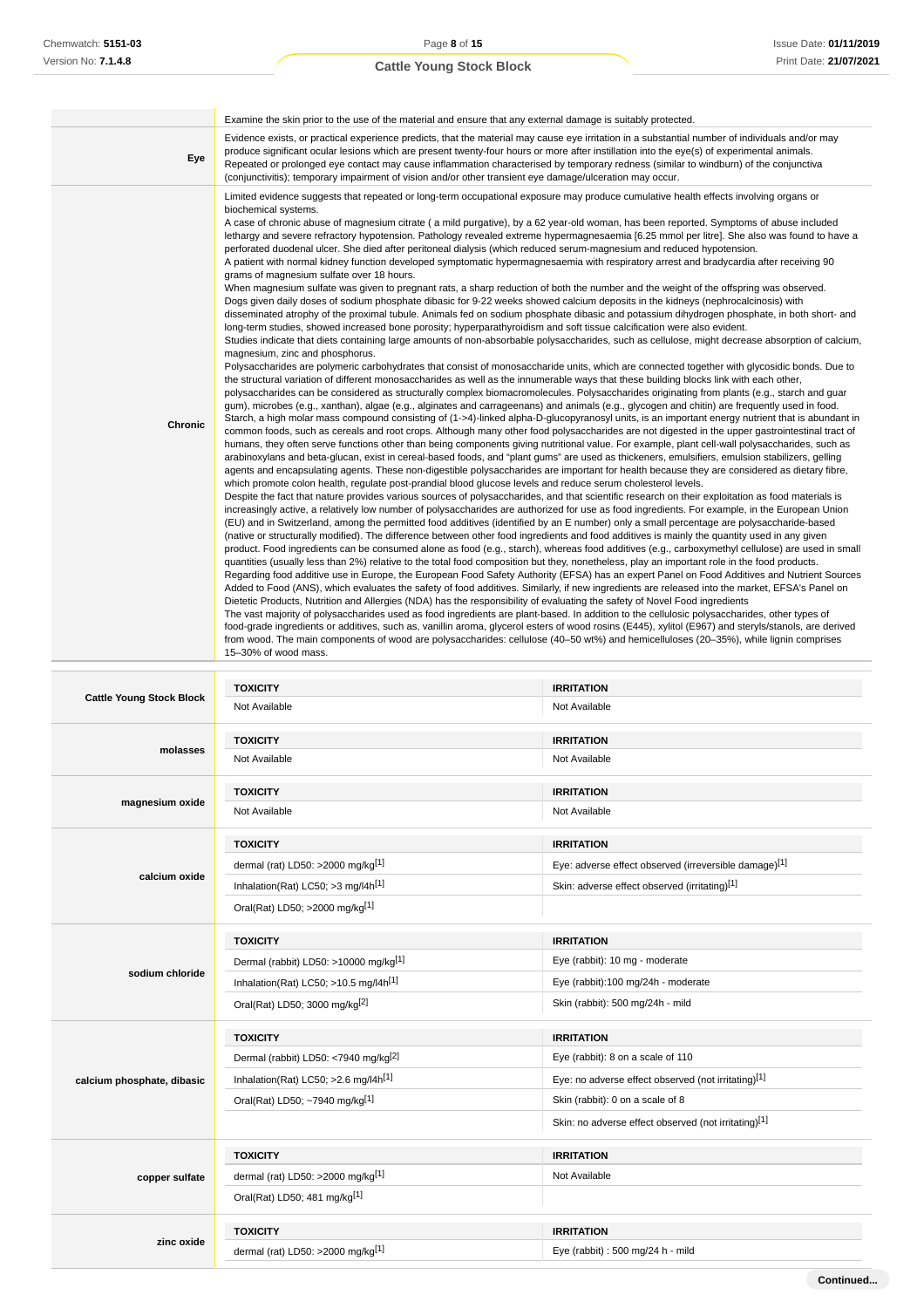|                                 | Examine the skin prior to the use of the material and ensure that any external damage is suitably protected.                                                                                                                                                                                                                                                                                                                                                                                                                                                                                                                                                                                                                                                                                                                                                                                                                                                                                                                                                                                                                                                                                                                                                                                                                                                                                                                                                                                                                                                                                                                                                                                                                                                                                                                                                                                                                                                                                                                                                                                                                                                                                                                                                                                                                                                                                                                                                                                                                                                                                                                                                                                                                                                                                                                                                                                                                                                                                                                                                                                                                                                                                                                                                                                                                                                                                                                                                                                                                                                                                                                                                                                                                                                                                                                                                                                                                                                                                                                                                                                                                                                                                                                                                                                                                                                                                                                                                                                                                                                                                                                                                                                                                                                                                             |                                                       |  |  |  |  |
|---------------------------------|----------------------------------------------------------------------------------------------------------------------------------------------------------------------------------------------------------------------------------------------------------------------------------------------------------------------------------------------------------------------------------------------------------------------------------------------------------------------------------------------------------------------------------------------------------------------------------------------------------------------------------------------------------------------------------------------------------------------------------------------------------------------------------------------------------------------------------------------------------------------------------------------------------------------------------------------------------------------------------------------------------------------------------------------------------------------------------------------------------------------------------------------------------------------------------------------------------------------------------------------------------------------------------------------------------------------------------------------------------------------------------------------------------------------------------------------------------------------------------------------------------------------------------------------------------------------------------------------------------------------------------------------------------------------------------------------------------------------------------------------------------------------------------------------------------------------------------------------------------------------------------------------------------------------------------------------------------------------------------------------------------------------------------------------------------------------------------------------------------------------------------------------------------------------------------------------------------------------------------------------------------------------------------------------------------------------------------------------------------------------------------------------------------------------------------------------------------------------------------------------------------------------------------------------------------------------------------------------------------------------------------------------------------------------------------------------------------------------------------------------------------------------------------------------------------------------------------------------------------------------------------------------------------------------------------------------------------------------------------------------------------------------------------------------------------------------------------------------------------------------------------------------------------------------------------------------------------------------------------------------------------------------------------------------------------------------------------------------------------------------------------------------------------------------------------------------------------------------------------------------------------------------------------------------------------------------------------------------------------------------------------------------------------------------------------------------------------------------------------------------------------------------------------------------------------------------------------------------------------------------------------------------------------------------------------------------------------------------------------------------------------------------------------------------------------------------------------------------------------------------------------------------------------------------------------------------------------------------------------------------------------------------------------------------------------------------------------------------------------------------------------------------------------------------------------------------------------------------------------------------------------------------------------------------------------------------------------------------------------------------------------------------------------------------------------------------------------------------------------------------------------------------------------------------------------|-------------------------------------------------------|--|--|--|--|
| Eye                             | Evidence exists, or practical experience predicts, that the material may cause eye irritation in a substantial number of individuals and/or may<br>produce significant ocular lesions which are present twenty-four hours or more after instillation into the eye(s) of experimental animals.<br>Repeated or prolonged eye contact may cause inflammation characterised by temporary redness (similar to windburn) of the conjunctiva<br>(conjunctivitis); temporary impairment of vision and/or other transient eye damage/ulceration may occur.                                                                                                                                                                                                                                                                                                                                                                                                                                                                                                                                                                                                                                                                                                                                                                                                                                                                                                                                                                                                                                                                                                                                                                                                                                                                                                                                                                                                                                                                                                                                                                                                                                                                                                                                                                                                                                                                                                                                                                                                                                                                                                                                                                                                                                                                                                                                                                                                                                                                                                                                                                                                                                                                                                                                                                                                                                                                                                                                                                                                                                                                                                                                                                                                                                                                                                                                                                                                                                                                                                                                                                                                                                                                                                                                                                                                                                                                                                                                                                                                                                                                                                                                                                                                                                                        |                                                       |  |  |  |  |
| Chronic                         | Limited evidence suggests that repeated or long-term occupational exposure may produce cumulative health effects involving organs or<br>biochemical systems.<br>A case of chronic abuse of magnesium citrate (a mild purgative), by a 62 year-old woman, has been reported. Symptoms of abuse included<br>lethargy and severe refractory hypotension. Pathology revealed extreme hypermagnesaemia [6.25 mmol per litre]. She also was found to have a<br>perforated duodenal ulcer. She died after peritoneal dialysis (which reduced serum-magnesium and reduced hypotension.<br>A patient with normal kidney function developed symptomatic hypermagnesaemia with respiratory arrest and bradycardia after receiving 90<br>grams of magnesium sulfate over 18 hours.<br>When magnesium sulfate was given to pregnant rats, a sharp reduction of both the number and the weight of the offspring was observed.<br>Dogs given daily doses of sodium phosphate dibasic for 9-22 weeks showed calcium deposits in the kidneys (nephrocalcinosis) with<br>disseminated atrophy of the proximal tubule. Animals fed on sodium phosphate dibasic and potassium dihydrogen phosphate, in both short- and<br>long-term studies, showed increased bone porosity; hyperparathyroidism and soft tissue calcification were also evident.<br>Studies indicate that diets containing large amounts of non-absorbable polysaccharides, such as cellulose, might decrease absorption of calcium,<br>magnesium, zinc and phosphorus.<br>Polysaccharides are polymeric carbohydrates that consist of monosaccharide units, which are connected together with glycosidic bonds. Due to<br>the structural variation of different monosaccharides as well as the innumerable ways that these building blocks link with each other,<br>polysaccharides can be considered as structurally complex biomacromolecules. Polysaccharides originating from plants (e.g., starch and guar<br>gum), microbes (e.g., xanthan), algae (e.g., alginates and carrageenans) and animals (e.g., glycogen and chitin) are frequently used in food.<br>Starch, a high molar mass compound consisting of (1->4)-linked alpha-D-glucopyranosyl units, is an important energy nutrient that is abundant in<br>common foods, such as cereals and root crops. Although many other food polysaccharides are not digested in the upper gastrointestinal tract of<br>humans, they often serve functions other than being components giving nutritional value. For example, plant cell-wall polysaccharides, such as<br>arabinoxylans and beta-glucan, exist in cereal-based foods, and "plant gums" are used as thickeners, emulsifiers, emulsion stabilizers, gelling<br>agents and encapsulating agents. These non-digestible polysaccharides are important for health because they are considered as dietary fibre,<br>which promote colon health, regulate post-prandial blood glucose levels and reduce serum cholesterol levels.<br>Despite the fact that nature provides various sources of polysaccharides, and that scientific research on their exploitation as food materials is<br>increasingly active, a relatively low number of polysaccharides are authorized for use as food ingredients. For example, in the European Union<br>(EU) and in Switzerland, among the permitted food additives (identified by an E number) only a small percentage are polysaccharide-based<br>(native or structurally modified). The difference between other food ingredients and food additives is mainly the quantity used in any given<br>product. Food ingredients can be consumed alone as food (e.g., starch), whereas food additives (e.g., carboxymethyl cellulose) are used in small<br>quantities (usually less than 2%) relative to the total food composition but they, nonetheless, play an important role in the food products.<br>Regarding food additive use in Europe, the European Food Safety Authority (EFSA) has an expert Panel on Food Additives and Nutrient Sources<br>Added to Food (ANS), which evaluates the safety of food additives. Similarly, if new ingredients are released into the market, EFSA's Panel on<br>Dietetic Products, Nutrition and Allergies (NDA) has the responsibility of evaluating the safety of Novel Food ingredients<br>The vast majority of polysaccharides used as food ingredients are plant-based. In addition to the cellulosic polysaccharides, other types of<br>food-grade ingredients or additives, such as, vanillin aroma, glycerol esters of wood rosins (E445), xylitol (E967) and steryls/stanols, are derived<br>from wood. The main components of wood are polysaccharides: cellulose (40–50 wt%) and hemicelluloses (20–35%), while lignin comprises<br>15-30% of wood mass. |                                                       |  |  |  |  |
|                                 | <b>TOXICITY</b>                                                                                                                                                                                                                                                                                                                                                                                                                                                                                                                                                                                                                                                                                                                                                                                                                                                                                                                                                                                                                                                                                                                                                                                                                                                                                                                                                                                                                                                                                                                                                                                                                                                                                                                                                                                                                                                                                                                                                                                                                                                                                                                                                                                                                                                                                                                                                                                                                                                                                                                                                                                                                                                                                                                                                                                                                                                                                                                                                                                                                                                                                                                                                                                                                                                                                                                                                                                                                                                                                                                                                                                                                                                                                                                                                                                                                                                                                                                                                                                                                                                                                                                                                                                                                                                                                                                                                                                                                                                                                                                                                                                                                                                                                                                                                                                          | <b>IRRITATION</b>                                     |  |  |  |  |
| <b>Cattle Young Stock Block</b> | Not Available                                                                                                                                                                                                                                                                                                                                                                                                                                                                                                                                                                                                                                                                                                                                                                                                                                                                                                                                                                                                                                                                                                                                                                                                                                                                                                                                                                                                                                                                                                                                                                                                                                                                                                                                                                                                                                                                                                                                                                                                                                                                                                                                                                                                                                                                                                                                                                                                                                                                                                                                                                                                                                                                                                                                                                                                                                                                                                                                                                                                                                                                                                                                                                                                                                                                                                                                                                                                                                                                                                                                                                                                                                                                                                                                                                                                                                                                                                                                                                                                                                                                                                                                                                                                                                                                                                                                                                                                                                                                                                                                                                                                                                                                                                                                                                                            | Not Available                                         |  |  |  |  |
|                                 | <b>TOXICITY</b>                                                                                                                                                                                                                                                                                                                                                                                                                                                                                                                                                                                                                                                                                                                                                                                                                                                                                                                                                                                                                                                                                                                                                                                                                                                                                                                                                                                                                                                                                                                                                                                                                                                                                                                                                                                                                                                                                                                                                                                                                                                                                                                                                                                                                                                                                                                                                                                                                                                                                                                                                                                                                                                                                                                                                                                                                                                                                                                                                                                                                                                                                                                                                                                                                                                                                                                                                                                                                                                                                                                                                                                                                                                                                                                                                                                                                                                                                                                                                                                                                                                                                                                                                                                                                                                                                                                                                                                                                                                                                                                                                                                                                                                                                                                                                                                          | <b>IRRITATION</b>                                     |  |  |  |  |
| molasses                        | Not Available                                                                                                                                                                                                                                                                                                                                                                                                                                                                                                                                                                                                                                                                                                                                                                                                                                                                                                                                                                                                                                                                                                                                                                                                                                                                                                                                                                                                                                                                                                                                                                                                                                                                                                                                                                                                                                                                                                                                                                                                                                                                                                                                                                                                                                                                                                                                                                                                                                                                                                                                                                                                                                                                                                                                                                                                                                                                                                                                                                                                                                                                                                                                                                                                                                                                                                                                                                                                                                                                                                                                                                                                                                                                                                                                                                                                                                                                                                                                                                                                                                                                                                                                                                                                                                                                                                                                                                                                                                                                                                                                                                                                                                                                                                                                                                                            | Not Available                                         |  |  |  |  |
|                                 | <b>TOXICITY</b>                                                                                                                                                                                                                                                                                                                                                                                                                                                                                                                                                                                                                                                                                                                                                                                                                                                                                                                                                                                                                                                                                                                                                                                                                                                                                                                                                                                                                                                                                                                                                                                                                                                                                                                                                                                                                                                                                                                                                                                                                                                                                                                                                                                                                                                                                                                                                                                                                                                                                                                                                                                                                                                                                                                                                                                                                                                                                                                                                                                                                                                                                                                                                                                                                                                                                                                                                                                                                                                                                                                                                                                                                                                                                                                                                                                                                                                                                                                                                                                                                                                                                                                                                                                                                                                                                                                                                                                                                                                                                                                                                                                                                                                                                                                                                                                          | <b>IRRITATION</b>                                     |  |  |  |  |
| magnesium oxide                 | Not Available                                                                                                                                                                                                                                                                                                                                                                                                                                                                                                                                                                                                                                                                                                                                                                                                                                                                                                                                                                                                                                                                                                                                                                                                                                                                                                                                                                                                                                                                                                                                                                                                                                                                                                                                                                                                                                                                                                                                                                                                                                                                                                                                                                                                                                                                                                                                                                                                                                                                                                                                                                                                                                                                                                                                                                                                                                                                                                                                                                                                                                                                                                                                                                                                                                                                                                                                                                                                                                                                                                                                                                                                                                                                                                                                                                                                                                                                                                                                                                                                                                                                                                                                                                                                                                                                                                                                                                                                                                                                                                                                                                                                                                                                                                                                                                                            | Not Available                                         |  |  |  |  |
|                                 |                                                                                                                                                                                                                                                                                                                                                                                                                                                                                                                                                                                                                                                                                                                                                                                                                                                                                                                                                                                                                                                                                                                                                                                                                                                                                                                                                                                                                                                                                                                                                                                                                                                                                                                                                                                                                                                                                                                                                                                                                                                                                                                                                                                                                                                                                                                                                                                                                                                                                                                                                                                                                                                                                                                                                                                                                                                                                                                                                                                                                                                                                                                                                                                                                                                                                                                                                                                                                                                                                                                                                                                                                                                                                                                                                                                                                                                                                                                                                                                                                                                                                                                                                                                                                                                                                                                                                                                                                                                                                                                                                                                                                                                                                                                                                                                                          |                                                       |  |  |  |  |
|                                 | <b>TOXICITY</b>                                                                                                                                                                                                                                                                                                                                                                                                                                                                                                                                                                                                                                                                                                                                                                                                                                                                                                                                                                                                                                                                                                                                                                                                                                                                                                                                                                                                                                                                                                                                                                                                                                                                                                                                                                                                                                                                                                                                                                                                                                                                                                                                                                                                                                                                                                                                                                                                                                                                                                                                                                                                                                                                                                                                                                                                                                                                                                                                                                                                                                                                                                                                                                                                                                                                                                                                                                                                                                                                                                                                                                                                                                                                                                                                                                                                                                                                                                                                                                                                                                                                                                                                                                                                                                                                                                                                                                                                                                                                                                                                                                                                                                                                                                                                                                                          | <b>IRRITATION</b>                                     |  |  |  |  |
|                                 | dermal (rat) LD50: >2000 mg/kg <sup>[1]</sup>                                                                                                                                                                                                                                                                                                                                                                                                                                                                                                                                                                                                                                                                                                                                                                                                                                                                                                                                                                                                                                                                                                                                                                                                                                                                                                                                                                                                                                                                                                                                                                                                                                                                                                                                                                                                                                                                                                                                                                                                                                                                                                                                                                                                                                                                                                                                                                                                                                                                                                                                                                                                                                                                                                                                                                                                                                                                                                                                                                                                                                                                                                                                                                                                                                                                                                                                                                                                                                                                                                                                                                                                                                                                                                                                                                                                                                                                                                                                                                                                                                                                                                                                                                                                                                                                                                                                                                                                                                                                                                                                                                                                                                                                                                                                                            | Eye: adverse effect observed (irreversible damage)[1] |  |  |  |  |
| calcium oxide                   | Inhalation(Rat) LC50; $>3$ mg/l4h <sup>[1]</sup>                                                                                                                                                                                                                                                                                                                                                                                                                                                                                                                                                                                                                                                                                                                                                                                                                                                                                                                                                                                                                                                                                                                                                                                                                                                                                                                                                                                                                                                                                                                                                                                                                                                                                                                                                                                                                                                                                                                                                                                                                                                                                                                                                                                                                                                                                                                                                                                                                                                                                                                                                                                                                                                                                                                                                                                                                                                                                                                                                                                                                                                                                                                                                                                                                                                                                                                                                                                                                                                                                                                                                                                                                                                                                                                                                                                                                                                                                                                                                                                                                                                                                                                                                                                                                                                                                                                                                                                                                                                                                                                                                                                                                                                                                                                                                         | Skin: adverse effect observed (irritating)[1]         |  |  |  |  |

|                            | Dermal (rabbit) LD50: >10000 mg/kg[1]                                                                                                                                                                                                                           | Eye (rabbit): 10 mg - moderate                       |  |  |
|----------------------------|-----------------------------------------------------------------------------------------------------------------------------------------------------------------------------------------------------------------------------------------------------------------|------------------------------------------------------|--|--|
| sodium chloride            | Inhalation(Rat) LC50; $>10.5$ mg/l4h <sup>[1]</sup>                                                                                                                                                                                                             | Eye (rabbit):100 mg/24h - moderate                   |  |  |
|                            | Oral(Rat) LD50; 3000 mg/kg <sup>[2]</sup>                                                                                                                                                                                                                       | Skin (rabbit): 500 mg/24h - mild                     |  |  |
|                            | <b>TOXICITY</b><br>Dermal (rabbit) LD50: <7940 mg/kg <sup>[2]</sup><br>Inhalation(Rat) LC50; $>2.6$ mg/l4h <sup>[1]</sup><br>Oral(Rat) LD50; ~7940 mg/kg[1]<br><b>TOXICITY</b><br>dermal (rat) LD50: >2000 mg/kg <sup>[1]</sup><br>Oral(Rat) LD50; 481 mg/kg[1] | <b>IRRITATION</b>                                    |  |  |
| calcium phosphate, dibasic |                                                                                                                                                                                                                                                                 | Eye (rabbit): 8 on a scale of 110                    |  |  |
|                            |                                                                                                                                                                                                                                                                 | Eye: no adverse effect observed (not irritating)[1]  |  |  |
|                            |                                                                                                                                                                                                                                                                 | Skin (rabbit): 0 on a scale of 8                     |  |  |
|                            |                                                                                                                                                                                                                                                                 | Skin: no adverse effect observed (not irritating)[1] |  |  |
|                            |                                                                                                                                                                                                                                                                 | <b>IRRITATION</b>                                    |  |  |
| copper sulfate             |                                                                                                                                                                                                                                                                 | Not Available                                        |  |  |
|                            |                                                                                                                                                                                                                                                                 |                                                      |  |  |

**zinc oxide**

**TOXICITY IRRITATION**

**TOXICITY IRRITATION**

dermal (rat) LD50: >2000 mg/kg<sup>[1]</sup> exercise the state of the state of the state of the state of the state of the state of the state of the state of the state of the state of the state of the state of the state of the stat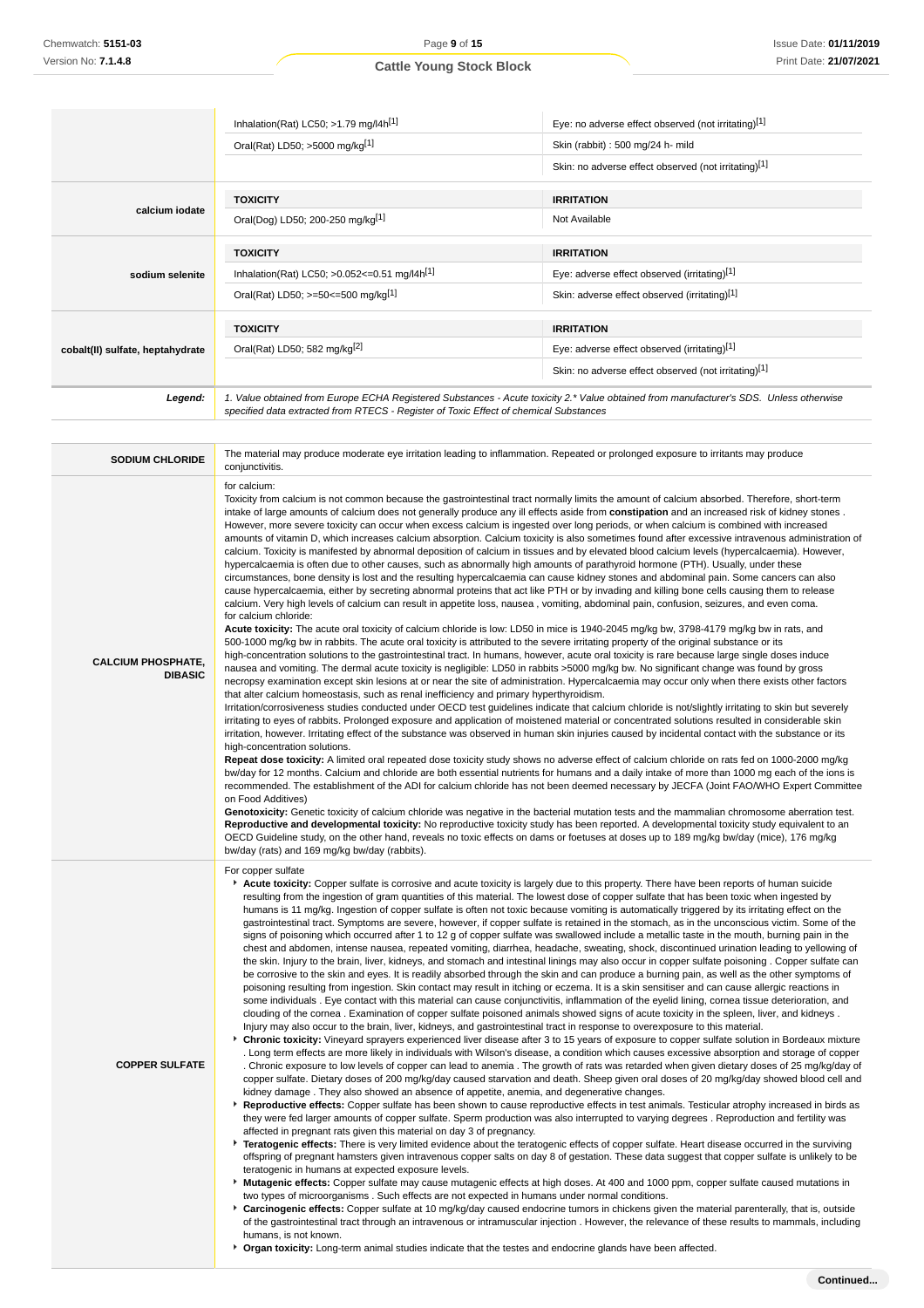|                                  | Inhalation(Rat) LC50; $>1.79$ mg/l4h <sup>[1]</sup>                                   | Eye: no adverse effect observed (not irritating)[1]                                                                                    |
|----------------------------------|---------------------------------------------------------------------------------------|----------------------------------------------------------------------------------------------------------------------------------------|
|                                  | Oral(Rat) LD50; >5000 mg/kg[1]                                                        | Skin (rabbit): 500 mg/24 h- mild                                                                                                       |
|                                  |                                                                                       | Skin: no adverse effect observed (not irritating)[1]                                                                                   |
|                                  | <b>TOXICITY</b>                                                                       | <b>IRRITATION</b>                                                                                                                      |
| calcium iodate                   | Oral(Dog) LD50; 200-250 mg/kg[1]                                                      | Not Available                                                                                                                          |
|                                  | <b>TOXICITY</b>                                                                       | <b>IRRITATION</b>                                                                                                                      |
| sodium selenite                  | Inhalation(Rat) LC50; $>0.052 \le 0.51$ mg/l4h <sup>[1]</sup>                         | Eye: adverse effect observed (irritating)[1]                                                                                           |
|                                  | Oral(Rat) LD50; >=50<=500 mg/kg[1]                                                    | Skin: adverse effect observed (irritating)[1]                                                                                          |
|                                  | <b>TOXICITY</b>                                                                       | <b>IRRITATION</b>                                                                                                                      |
| cobalt(II) sulfate, heptahydrate | Oral(Rat) LD50; 582 mg/kg <sup>[2]</sup>                                              | Eye: adverse effect observed (irritating)[1]                                                                                           |
|                                  |                                                                                       | Skin: no adverse effect observed (not irritating)[1]                                                                                   |
| Legend:                          | specified data extracted from RTECS - Register of Toxic Effect of chemical Substances | 1. Value obtained from Europe ECHA Registered Substances - Acute toxicity 2.* Value obtained from manufacturer's SDS. Unless otherwise |

| <b>SODIUM CHLORIDE</b>                      | The material may produce moderate eye irritation leading to inflammation. Repeated or prolonged exposure to irritants may produce<br>conjunctivitis.                                                                                                                                                                                                                                                                                                                                                                                                                                                                                                                                                                                                                                                                                                                                                                                                                                                                                                                                                                                                                                                                                                                                                                                                                                                                                                                                                                                                                                                                                                                                                                                                                                                                                                                                                                                                                                                                                                                                                                                                                                                                                                                                                                                                                                                                                                                                                                                                                                                                                                                                                                                                                                                                                                                                                                                                                                                                                                                                                                                                                                                                                                                                                                                                                                                                                                                                                                                                                                                                                                                                                                                                                                                                                                                                                                                                                                                                                                                                        |
|---------------------------------------------|---------------------------------------------------------------------------------------------------------------------------------------------------------------------------------------------------------------------------------------------------------------------------------------------------------------------------------------------------------------------------------------------------------------------------------------------------------------------------------------------------------------------------------------------------------------------------------------------------------------------------------------------------------------------------------------------------------------------------------------------------------------------------------------------------------------------------------------------------------------------------------------------------------------------------------------------------------------------------------------------------------------------------------------------------------------------------------------------------------------------------------------------------------------------------------------------------------------------------------------------------------------------------------------------------------------------------------------------------------------------------------------------------------------------------------------------------------------------------------------------------------------------------------------------------------------------------------------------------------------------------------------------------------------------------------------------------------------------------------------------------------------------------------------------------------------------------------------------------------------------------------------------------------------------------------------------------------------------------------------------------------------------------------------------------------------------------------------------------------------------------------------------------------------------------------------------------------------------------------------------------------------------------------------------------------------------------------------------------------------------------------------------------------------------------------------------------------------------------------------------------------------------------------------------------------------------------------------------------------------------------------------------------------------------------------------------------------------------------------------------------------------------------------------------------------------------------------------------------------------------------------------------------------------------------------------------------------------------------------------------------------------------------------------------------------------------------------------------------------------------------------------------------------------------------------------------------------------------------------------------------------------------------------------------------------------------------------------------------------------------------------------------------------------------------------------------------------------------------------------------------------------------------------------------------------------------------------------------------------------------------------------------------------------------------------------------------------------------------------------------------------------------------------------------------------------------------------------------------------------------------------------------------------------------------------------------------------------------------------------------------------------------------------------------------------------------------------------------|
| <b>CALCIUM PHOSPHATE,</b><br><b>DIBASIC</b> | for calcium:<br>Toxicity from calcium is not common because the gastrointestinal tract normally limits the amount of calcium absorbed. Therefore, short-term<br>intake of large amounts of calcium does not generally produce any ill effects aside from <b>constipation</b> and an increased risk of kidney stones.<br>However, more severe toxicity can occur when excess calcium is ingested over long periods, or when calcium is combined with increased<br>amounts of vitamin D, which increases calcium absorption. Calcium toxicity is also sometimes found after excessive intravenous administration of<br>calcium. Toxicity is manifested by abnormal deposition of calcium in tissues and by elevated blood calcium levels (hypercalcaemia). However,<br>hypercalcaemia is often due to other causes, such as abnormally high amounts of parathyroid hormone (PTH). Usually, under these<br>circumstances, bone density is lost and the resulting hypercalcaemia can cause kidney stones and abdominal pain. Some cancers can also<br>cause hypercalcaemia, either by secreting abnormal proteins that act like PTH or by invading and killing bone cells causing them to release<br>calcium. Very high levels of calcium can result in appetite loss, nausea, vomiting, abdominal pain, confusion, seizures, and even coma.<br>for calcium chloride:<br>Acute toxicity: The acute oral toxicity of calcium chloride is low: LD50 in mice is 1940-2045 mg/kg bw, 3798-4179 mg/kg bw in rats, and<br>500-1000 mg/kg bw in rabbits. The acute oral toxicity is attributed to the severe irritating property of the original substance or its<br>high-concentration solutions to the gastrointestinal tract. In humans, however, acute oral toxicity is rare because large single doses induce<br>nausea and vomiting. The dermal acute toxicity is negligible: LD50 in rabbits >5000 mg/kg bw. No significant change was found by gross<br>necropsy examination except skin lesions at or near the site of administration. Hypercalcaemia may occur only when there exists other factors<br>that alter calcium homeostasis, such as renal inefficiency and primary hyperthyroidism.<br>Irritation/corrosiveness studies conducted under OECD test guidelines indicate that calcium chloride is not/slightly irritating to skin but severely<br>irritating to eyes of rabbits. Prolonged exposure and application of moistened material or concentrated solutions resulted in considerable skin<br>irritation, however. Irritating effect of the substance was observed in human skin injuries caused by incidental contact with the substance or its<br>high-concentration solutions.<br>Repeat dose toxicity: A limited oral repeated dose toxicity study shows no adverse effect of calcium chloride on rats fed on 1000-2000 mg/kg<br>bw/day for 12 months. Calcium and chloride are both essential nutrients for humans and a daily intake of more than 1000 mg each of the ions is<br>recommended. The establishment of the ADI for calcium chloride has not been deemed necessary by JECFA (Joint FAO/WHO Expert Committee<br>on Food Additives)<br>Genotoxicity: Genetic toxicity of calcium chloride was negative in the bacterial mutation tests and the mammalian chromosome aberration test.<br>Reproductive and developmental toxicity: No reproductive toxicity study has been reported. A developmental toxicity study equivalent to an                                                                                                                                                                                                                                                                                                                                                                                                                                                                                                                                                                                                                             |
| <b>COPPER SULFATE</b>                       | OECD Guideline study, on the other hand, reveals no toxic effects on dams or foetuses at doses up to 189 mg/kg bw/day (mice), 176 mg/kg<br>bw/day (rats) and 169 mg/kg bw/day (rabbits).<br>For copper sulfate<br>Acute toxicity: Copper sulfate is corrosive and acute toxicity is largely due to this property. There have been reports of human suicide<br>resulting from the ingestion of gram quantities of this material. The lowest dose of copper sulfate that has been toxic when ingested by<br>humans is 11 mg/kg. Ingestion of copper sulfate is often not toxic because vomiting is automatically triggered by its irritating effect on the<br>gastrointestinal tract. Symptoms are severe, however, if copper sulfate is retained in the stomach, as in the unconscious victim. Some of the<br>signs of poisoning which occurred after 1 to 12 g of copper sulfate was swallowed include a metallic taste in the mouth, burning pain in the<br>chest and abdomen, intense nausea, repeated vomiting, diarrhea, headache, sweating, shock, discontinued urination leading to yellowing of<br>the skin. Injury to the brain, liver, kidneys, and stomach and intestinal linings may also occur in copper sulfate poisoning. Copper sulfate can<br>be corrosive to the skin and eyes. It is readily absorbed through the skin and can produce a burning pain, as well as the other symptoms of<br>poisoning resulting from ingestion. Skin contact may result in itching or eczema. It is a skin sensitiser and can cause allergic reactions in<br>some individuals. Eye contact with this material can cause conjunctivitis, inflammation of the eyelid lining, cornea tissue deterioration, and<br>clouding of the cornea. Examination of copper sulfate poisoned animals showed signs of acute toxicity in the spleen, liver, and kidneys.<br>Injury may also occur to the brain, liver, kidneys, and gastrointestinal tract in response to overexposure to this material.<br>Chronic toxicity: Vineyard sprayers experienced liver disease after 3 to 15 years of exposure to copper sulfate solution in Bordeaux mixture<br>. Long term effects are more likely in individuals with Wilson's disease, a condition which causes excessive absorption and storage of copper<br>. Chronic exposure to low levels of copper can lead to anemia. The growth of rats was retarded when given dietary doses of 25 mg/kg/day of<br>copper sulfate. Dietary doses of 200 mg/kg/day caused starvation and death. Sheep given oral doses of 20 mg/kg/day showed blood cell and<br>kidney damage. They also showed an absence of appetite, anemia, and degenerative changes.<br>Reproductive effects: Copper sulfate has been shown to cause reproductive effects in test animals. Testicular atrophy increased in birds as<br>they were fed larger amounts of copper sulfate. Sperm production was also interrupted to varying degrees. Reproduction and fertility was<br>affected in pregnant rats given this material on day 3 of pregnancy.<br>Fratogenic effects: There is very limited evidence about the teratogenic effects of copper sulfate. Heart disease occurred in the surviving<br>offspring of pregnant hamsters given intravenous copper salts on day 8 of gestation. These data suggest that copper sulfate is unlikely to be<br>teratogenic in humans at expected exposure levels.<br>Mutagenic effects: Copper sulfate may cause mutagenic effects at high doses. At 400 and 1000 ppm, copper sulfate caused mutations in<br>two types of microorganisms. Such effects are not expected in humans under normal conditions.<br>Carcinogenic effects: Copper sulfate at 10 mg/kg/day caused endocrine tumors in chickens given the material parenterally, that is, outside<br>of the gastrointestinal tract through an intravenous or intramuscular injection. However, the relevance of these results to mammals, including<br>humans, is not known.<br>▶ Organ toxicity: Long-term animal studies indicate that the testes and endocrine glands have been affected. |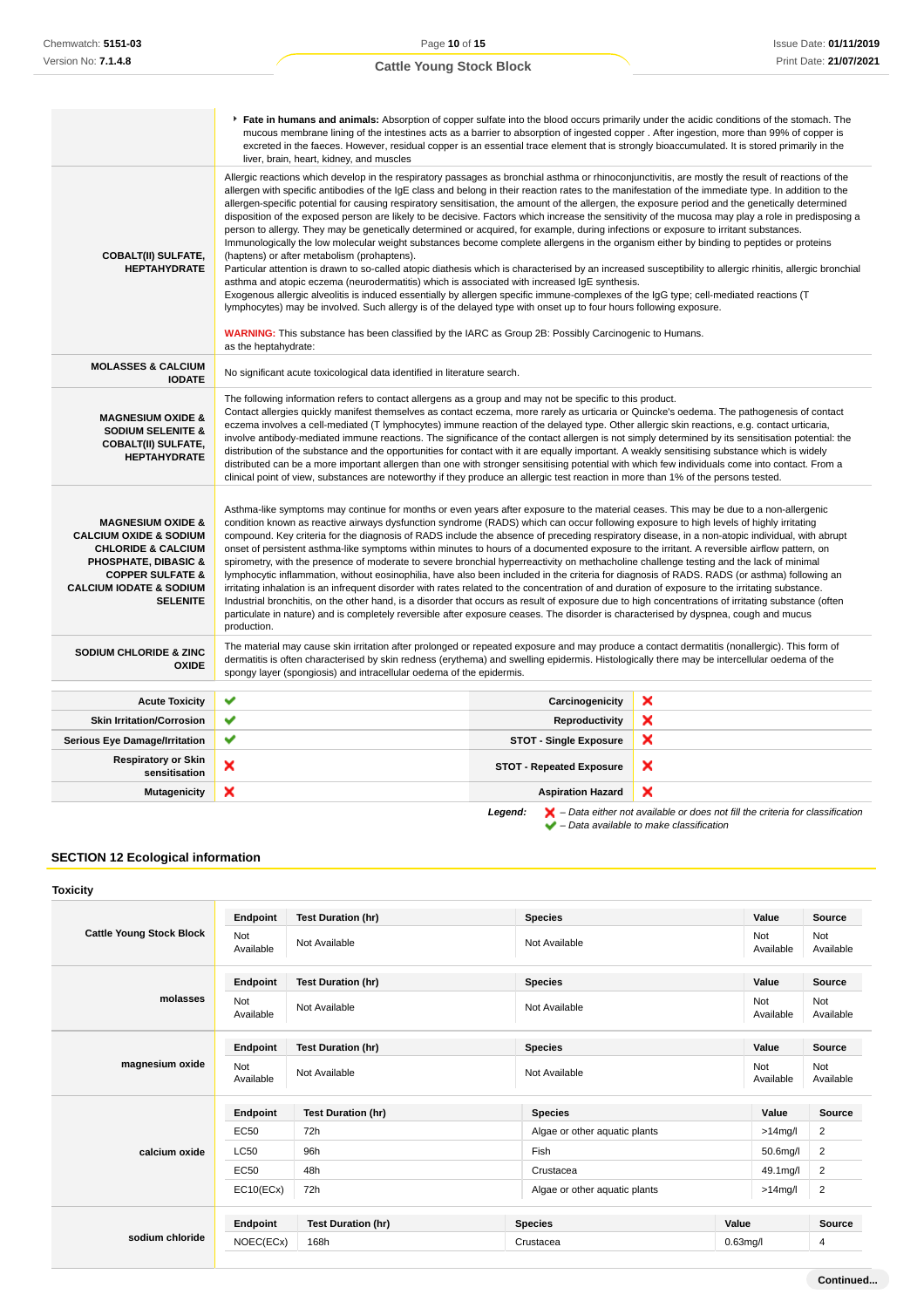|                                                                                                                                                                                                                               | Fate in humans and animals: Absorption of copper sulfate into the blood occurs primarily under the acidic conditions of the stomach. The<br>mucous membrane lining of the intestines acts as a barrier to absorption of ingested copper. After ingestion, more than 99% of copper is<br>excreted in the faeces. However, residual copper is an essential trace element that is strongly bioaccumulated. It is stored primarily in the<br>liver, brain, heart, kidney, and muscles                                                                                                                                                                                                                                                                                                                                                                                                                                                                                                                                                                                                                                                                                                                                                                                                                                                                                                                                                                                                                                                                                                                                              |                                 |   |
|-------------------------------------------------------------------------------------------------------------------------------------------------------------------------------------------------------------------------------|--------------------------------------------------------------------------------------------------------------------------------------------------------------------------------------------------------------------------------------------------------------------------------------------------------------------------------------------------------------------------------------------------------------------------------------------------------------------------------------------------------------------------------------------------------------------------------------------------------------------------------------------------------------------------------------------------------------------------------------------------------------------------------------------------------------------------------------------------------------------------------------------------------------------------------------------------------------------------------------------------------------------------------------------------------------------------------------------------------------------------------------------------------------------------------------------------------------------------------------------------------------------------------------------------------------------------------------------------------------------------------------------------------------------------------------------------------------------------------------------------------------------------------------------------------------------------------------------------------------------------------|---------------------------------|---|
| <b>COBALT(II) SULFATE,</b><br><b>HEPTAHYDRATE</b>                                                                                                                                                                             | Allergic reactions which develop in the respiratory passages as bronchial asthma or rhinoconjunctivitis, are mostly the result of reactions of the<br>allergen with specific antibodies of the IgE class and belong in their reaction rates to the manifestation of the immediate type. In addition to the<br>allergen-specific potential for causing respiratory sensitisation, the amount of the allergen, the exposure period and the genetically determined<br>disposition of the exposed person are likely to be decisive. Factors which increase the sensitivity of the mucosa may play a role in predisposing a<br>person to allergy. They may be genetically determined or acquired, for example, during infections or exposure to irritant substances.<br>Immunologically the low molecular weight substances become complete allergens in the organism either by binding to peptides or proteins<br>(haptens) or after metabolism (prohaptens).<br>Particular attention is drawn to so-called atopic diathesis which is characterised by an increased susceptibility to allergic rhinitis, allergic bronchial<br>asthma and atopic eczema (neurodermatitis) which is associated with increased IqE synthesis.<br>Exogenous allergic alveolitis is induced essentially by allergen specific immune-complexes of the IgG type; cell-mediated reactions (T<br>lymphocytes) may be involved. Such allergy is of the delayed type with onset up to four hours following exposure.<br><b>WARNING:</b> This substance has been classified by the IARC as Group 2B: Possibly Carcinogenic to Humans.<br>as the heptahydrate: |                                 |   |
| <b>MOLASSES &amp; CALCIUM</b><br><b>IODATE</b>                                                                                                                                                                                | No significant acute toxicological data identified in literature search.                                                                                                                                                                                                                                                                                                                                                                                                                                                                                                                                                                                                                                                                                                                                                                                                                                                                                                                                                                                                                                                                                                                                                                                                                                                                                                                                                                                                                                                                                                                                                       |                                 |   |
| <b>MAGNESIUM OXIDE &amp;</b><br><b>SODIUM SELENITE &amp;</b><br><b>COBALT(II) SULFATE,</b><br><b>HEPTAHYDRATE</b>                                                                                                             | The following information refers to contact allergens as a group and may not be specific to this product.<br>Contact allergies quickly manifest themselves as contact eczema, more rarely as urticaria or Quincke's oedema. The pathogenesis of contact<br>eczema involves a cell-mediated (T lymphocytes) immune reaction of the delayed type. Other allergic skin reactions, e.g. contact urticaria,<br>involve antibody-mediated immune reactions. The significance of the contact allergen is not simply determined by its sensitisation potential: the<br>distribution of the substance and the opportunities for contact with it are equally important. A weakly sensitising substance which is widely<br>distributed can be a more important allergen than one with stronger sensitising potential with which few individuals come into contact. From a<br>clinical point of view, substances are noteworthy if they produce an allergic test reaction in more than 1% of the persons tested.                                                                                                                                                                                                                                                                                                                                                                                                                                                                                                                                                                                                                           |                                 |   |
| <b>MAGNESIUM OXIDE &amp;</b><br><b>CALCIUM OXIDE &amp; SODIUM</b><br><b>CHLORIDE &amp; CALCIUM</b><br><b>PHOSPHATE, DIBASIC &amp;</b><br><b>COPPER SULFATE &amp;</b><br><b>CALCIUM IODATE &amp; SODIUM</b><br><b>SELENITE</b> | Asthma-like symptoms may continue for months or even years after exposure to the material ceases. This may be due to a non-allergenic<br>condition known as reactive airways dysfunction syndrome (RADS) which can occur following exposure to high levels of highly irritating<br>compound. Key criteria for the diagnosis of RADS include the absence of preceding respiratory disease, in a non-atopic individual, with abrupt<br>onset of persistent asthma-like symptoms within minutes to hours of a documented exposure to the irritant. A reversible airflow pattern, on<br>spirometry, with the presence of moderate to severe bronchial hyperreactivity on methacholine challenge testing and the lack of minimal<br>lymphocytic inflammation, without eosinophilia, have also been included in the criteria for diagnosis of RADS. RADS (or asthma) following an<br>irritating inhalation is an infrequent disorder with rates related to the concentration of and duration of exposure to the irritating substance.<br>Industrial bronchitis, on the other hand, is a disorder that occurs as result of exposure due to high concentrations of irritating substance (often<br>particulate in nature) and is completely reversible after exposure ceases. The disorder is characterised by dyspnea, cough and mucus<br>production.                                                                                                                                                                                                                                                                                  |                                 |   |
| <b>SODIUM CHLORIDE &amp; ZINC</b><br><b>OXIDE</b>                                                                                                                                                                             | The material may cause skin irritation after prolonged or repeated exposure and may produce a contact dermatitis (nonallergic). This form of<br>dermatitis is often characterised by skin redness (erythema) and swelling epidermis. Histologically there may be intercellular oedema of the<br>spongy layer (spongiosis) and intracellular oedema of the epidermis.                                                                                                                                                                                                                                                                                                                                                                                                                                                                                                                                                                                                                                                                                                                                                                                                                                                                                                                                                                                                                                                                                                                                                                                                                                                           |                                 |   |
| <b>Acute Toxicity</b>                                                                                                                                                                                                         | ✔                                                                                                                                                                                                                                                                                                                                                                                                                                                                                                                                                                                                                                                                                                                                                                                                                                                                                                                                                                                                                                                                                                                                                                                                                                                                                                                                                                                                                                                                                                                                                                                                                              | Carcinogenicity                 | × |
| <b>Skin Irritation/Corrosion</b>                                                                                                                                                                                              | ✔                                                                                                                                                                                                                                                                                                                                                                                                                                                                                                                                                                                                                                                                                                                                                                                                                                                                                                                                                                                                                                                                                                                                                                                                                                                                                                                                                                                                                                                                                                                                                                                                                              | Reproductivity                  | × |
| <b>Serious Eye Damage/Irritation</b>                                                                                                                                                                                          | ✔                                                                                                                                                                                                                                                                                                                                                                                                                                                                                                                                                                                                                                                                                                                                                                                                                                                                                                                                                                                                                                                                                                                                                                                                                                                                                                                                                                                                                                                                                                                                                                                                                              | <b>STOT - Single Exposure</b>   | × |
| <b>Respiratory or Skin</b><br>sensitisation                                                                                                                                                                                   | ×                                                                                                                                                                                                                                                                                                                                                                                                                                                                                                                                                                                                                                                                                                                                                                                                                                                                                                                                                                                                                                                                                                                                                                                                                                                                                                                                                                                                                                                                                                                                                                                                                              | <b>STOT - Repeated Exposure</b> | × |
| <b>Mutagenicity</b>                                                                                                                                                                                                           | ×                                                                                                                                                                                                                                                                                                                                                                                                                                                                                                                                                                                                                                                                                                                                                                                                                                                                                                                                                                                                                                                                                                                                                                                                                                                                                                                                                                                                                                                                                                                                                                                                                              | <b>Aspiration Hazard</b>        | × |

**SECTION 12 Ecological information**

| <b>Cattle Young Stock Block</b> | Endpoint         | <b>Test Duration (hr)</b> | <b>Species</b>                | Value            | Source           |
|---------------------------------|------------------|---------------------------|-------------------------------|------------------|------------------|
|                                 | Not<br>Available | Not Available             | Not Available                 | Not<br>Available | Not<br>Available |
|                                 | Endpoint         | <b>Test Duration (hr)</b> | <b>Species</b>                | Value            | Source           |
| molasses                        | Not<br>Available | Not Available             | Not Available                 | Not<br>Available | Not<br>Available |
| magnesium oxide<br>Not          | Endpoint         | <b>Test Duration (hr)</b> | <b>Species</b>                | Value            | Source           |
|                                 | Available        | Not Available             | Not Available                 | Not<br>Available | Not<br>Available |
|                                 | Endpoint         | <b>Test Duration (hr)</b> | <b>Species</b>                | Value            | Source           |
|                                 | <b>EC50</b>      | 72h                       | Algae or other aquatic plants | $>14$ mg/l       | $\overline{2}$   |
| calcium oxide                   | <b>LC50</b>      | 96h                       | Fish                          | 50.6mg/l         | $\overline{2}$   |
|                                 | <b>EC50</b>      | 48h                       | Crustacea                     | 49.1mg/l         | $\overline{2}$   |
|                                 | EC10(ECx)        | 72h                       | Algae or other aquatic plants | $>14$ mg/l       | $\overline{2}$   |
|                                 | Endpoint         | <b>Test Duration (hr)</b> | <b>Species</b>                | Value            | Source           |
| sodium chloride                 | NOEC(ECx)        | 168h                      | Crustacea                     | $0.63$ mg/l      | 4                |
|                                 |                  |                           |                               |                  |                  |

**Legend:**  $\mathbf{X}$  – Data either not available or does not fill the criteria for classification

– Data available to make classification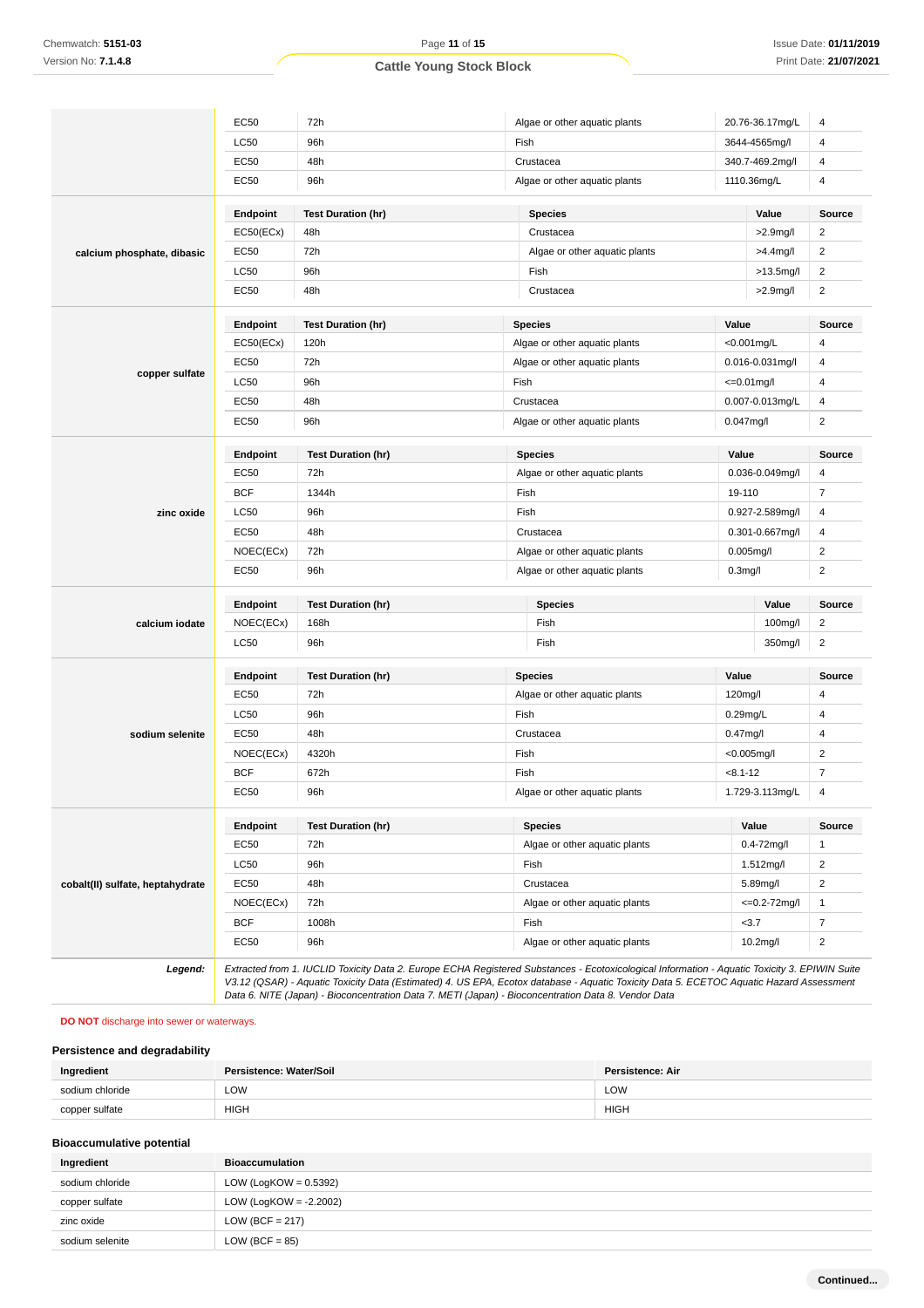|                                  | <b>EC50</b>                                  | 72h                       |                | Algae or other aquatic plants |                      | 20.76-36.17mg/L    | 4                       |
|----------------------------------|----------------------------------------------|---------------------------|----------------|-------------------------------|----------------------|--------------------|-------------------------|
|                                  | <b>LC50</b>                                  | 96h                       |                | Fish                          |                      | 3644-4565mg/l      | $\overline{4}$          |
|                                  | EC50                                         | 48h                       |                | Crustacea                     | 340.7-469.2mg/l      |                    | 4                       |
|                                  | EC50<br>96h<br>Algae or other aquatic plants |                           |                |                               | 1110.36mg/L          |                    | 4                       |
|                                  | Endpoint                                     | <b>Test Duration (hr)</b> |                | <b>Species</b>                |                      | Value              | Source                  |
|                                  | EC50(ECx)                                    | 48h                       |                | Crustacea                     |                      | $>2.9$ mg/l        | $\overline{c}$          |
| calcium phosphate, dibasic       | <b>EC50</b>                                  | 72h                       |                | Algae or other aquatic plants |                      | >4.4mg/l           | $\boldsymbol{2}$        |
|                                  | <b>LC50</b>                                  | 96h                       |                | Fish                          |                      | $>13.5$ mg/l       | $\overline{\mathbf{c}}$ |
|                                  | EC50                                         | 48h                       |                | Crustacea                     |                      | $>2.9$ mg/l        | $\overline{c}$          |
|                                  | Endpoint                                     | <b>Test Duration (hr)</b> |                | <b>Species</b>                | Value                |                    | <b>Source</b>           |
|                                  | EC50(ECx)                                    | 120h                      |                | Algae or other aquatic plants |                      | <0.001mg/L         | 4                       |
|                                  | EC50                                         | 72h                       |                | Algae or other aquatic plants |                      | 0.016-0.031mg/l    | 4                       |
| copper sulfate                   | <b>LC50</b>                                  | 96h                       |                | Fish                          |                      | $\leq 0.01$ mg/l   | $\overline{4}$          |
|                                  | <b>EC50</b>                                  | 48h                       |                | Crustacea                     |                      | 0.007-0.013mg/L    | 4                       |
|                                  | <b>EC50</b>                                  | 96h                       |                | Algae or other aquatic plants | $0.047$ mg/l         |                    | $\overline{\mathbf{c}}$ |
| zinc oxide                       | Endpoint                                     | <b>Test Duration (hr)</b> |                | <b>Species</b>                | Value                |                    | <b>Source</b>           |
|                                  | <b>EC50</b>                                  | 72h                       |                | Algae or other aquatic plants |                      | 0.036-0.049mg/l    | 4                       |
|                                  | <b>BCF</b>                                   | 1344h                     |                | Fish                          | 19-110               |                    | $\overline{7}$          |
|                                  | <b>LC50</b>                                  | 96h                       |                | Fish                          | 0.927-2.589mg/l      |                    | $\overline{4}$          |
|                                  | EC50                                         | 48h                       |                | Crustacea                     | 0.301-0.667mg/l      |                    | 4                       |
|                                  | NOEC(ECx)                                    | 72h                       |                | Algae or other aquatic plants | $0.005$ mg/l         |                    | $\overline{\mathbf{c}}$ |
|                                  | EC50                                         | 96h                       |                | Algae or other aquatic plants | 0.3 <sub>mg</sub> /I |                    | $\boldsymbol{2}$        |
|                                  | Endpoint                                     | <b>Test Duration (hr)</b> | <b>Species</b> |                               | Value                | <b>Source</b>      |                         |
| calcium iodate                   | NOEC(ECx)                                    | 168h                      |                | Fish                          |                      | 100mg/l            | 2                       |
|                                  | <b>LC50</b>                                  | 96h                       |                | Fish                          |                      | 350mg/l            | $\overline{c}$          |
|                                  | Endpoint                                     | <b>Test Duration (hr)</b> |                | Value<br><b>Species</b>       |                      |                    | <b>Source</b>           |
|                                  | <b>EC50</b>                                  | 72h                       |                | Algae or other aquatic plants | 120mg/l              |                    | 4                       |
|                                  | <b>LC50</b>                                  | 96h                       |                | Fish                          | $0.29$ mg/L          |                    | 4                       |
| sodium selenite                  | <b>EC50</b>                                  | 48h                       |                | Crustacea                     | $0.47$ mg/l          |                    | 4                       |
|                                  | NOEC(ECx)                                    | 4320h                     |                | Fish                          |                      | <0.005mg/l         | $\overline{\mathbf{c}}$ |
|                                  | <b>BCF</b>                                   | 672h                      |                | Fish                          | $< 8.1 - 12$         |                    | $\overline{7}$          |
|                                  | <b>EC50</b>                                  | 96h                       |                | Algae or other aquatic plants |                      | 1.729-3.113mg/L    | $\overline{4}$          |
|                                  | Endpoint                                     | <b>Test Duration (hr)</b> |                | <b>Species</b>                |                      | Value              | Source                  |
|                                  | EC50                                         | 72h                       |                | Algae or other aquatic plants |                      | 0.4-72mg/l         | $\mathbf{1}$            |
|                                  | <b>LC50</b>                                  | 96h                       |                | Fish                          |                      | 1.512mg/l          | $\overline{2}$          |
| cobalt(II) sulfate, heptahydrate | EC50                                         | 48h                       |                | Crustacea                     |                      | 5.89mg/l           | $\overline{c}$          |
|                                  | NOEC(ECx)                                    | 72h                       |                | Algae or other aquatic plants |                      | $\leq$ -0.2-72mg/l | $\mathbf{1}$            |
|                                  |                                              |                           |                |                               | < 3.7                |                    | $\overline{7}$          |
|                                  | <b>BCF</b>                                   | 1008h                     |                | Fish                          |                      |                    |                         |

## **DO NOT** discharge into sewer or waterways.

### **Persistence and degradability**

| Ingredient      | Persistence: Water/Soil | <b>Persistence: Air</b> |
|-----------------|-------------------------|-------------------------|
| sodium chloride | LOW                     | LOW                     |
| copper sulfate  | <b>HIGH</b>             | <b>HIGH</b>             |

Data 6. NITE (Japan) - Bioconcentration Data 7. METI (Japan) - Bioconcentration Data 8. Vendor Data

### **Bioaccumulative potential**

| Ingredient      | <b>Bioaccumulation</b>    |
|-----------------|---------------------------|
| sodium chloride | LOW (LogKOW = $0.5392$ )  |
| copper sulfate  | LOW (LogKOW = $-2.2002$ ) |
| zinc oxide      | LOW (BCF = $217$ )        |
| sodium selenite | LOW (BCF = $85$ )         |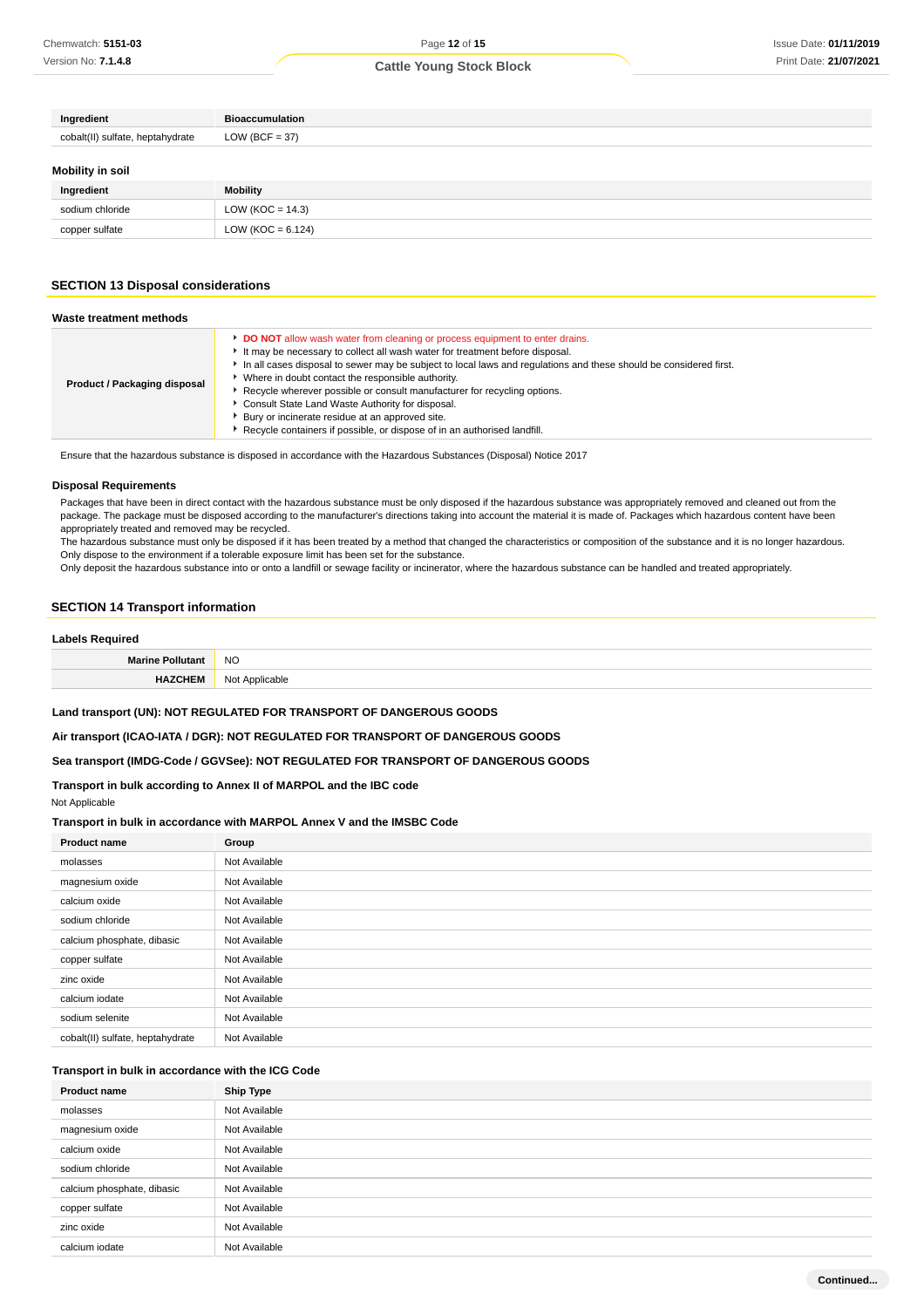| Ingredient                       | <b>Bioaccumulation</b> |
|----------------------------------|------------------------|
| cobalt(II) sulfate, heptahydrate | LOW (BCF = 37)         |
| Mobility in soil                 |                        |
| Ingredient                       | <b>Mobility</b>        |
| sodium chloride                  | LOW ( $KOC = 14.3$ )   |

#### **SECTION 13 Disposal considerations**

copper sulfate  $\vert$  LOW (KOC = 6.124)

| Waste treatment methods      |                                                                                                                                                                                                                                                                                                                                                                                                                                                                                                                                                                                                        |
|------------------------------|--------------------------------------------------------------------------------------------------------------------------------------------------------------------------------------------------------------------------------------------------------------------------------------------------------------------------------------------------------------------------------------------------------------------------------------------------------------------------------------------------------------------------------------------------------------------------------------------------------|
| Product / Packaging disposal | DO NOT allow wash water from cleaning or process equipment to enter drains.<br>It may be necessary to collect all wash water for treatment before disposal.<br>In all cases disposal to sewer may be subject to local laws and regulations and these should be considered first.<br>• Where in doubt contact the responsible authority.<br>Recycle wherever possible or consult manufacturer for recycling options.<br>Consult State Land Waste Authority for disposal.<br>Bury or incinerate residue at an approved site.<br>Recycle containers if possible, or dispose of in an authorised landfill. |

Ensure that the hazardous substance is disposed in accordance with the Hazardous Substances (Disposal) Notice 2017

#### **Disposal Requirements**

Packages that have been in direct contact with the hazardous substance must be only disposed if the hazardous substance was appropriately removed and cleaned out from the package. The package must be disposed according to the manufacturer's directions taking into account the material it is made of. Packages which hazardous content have been appropriately treated and removed may be recycled.

The hazardous substance must only be disposed if it has been treated by a method that changed the characteristics or composition of the substance and it is no longer hazardous. Only dispose to the environment if a tolerable exposure limit has been set for the substance.

Only deposit the hazardous substance into or onto a landfill or sewage facility or incinerator, where the hazardous substance can be handled and treated appropriately.

#### **SECTION 14 Transport information**

#### **Labels Required**

| Mari<br>ы<br>___ | <b>NO</b> |
|------------------|-----------|
|                  | יהו.      |

#### **Land transport (UN): NOT REGULATED FOR TRANSPORT OF DANGEROUS GOODS**

**Air transport (ICAO-IATA / DGR): NOT REGULATED FOR TRANSPORT OF DANGEROUS GOODS**

#### **Sea transport (IMDG-Code / GGVSee): NOT REGULATED FOR TRANSPORT OF DANGEROUS GOODS**

### **Transport in bulk according to Annex II of MARPOL and the IBC code** Not Applicable

#### **Transport in bulk in accordance with MARPOL Annex V and the IMSBC Code**

| <b>Product name</b>              | Group         |
|----------------------------------|---------------|
| molasses                         | Not Available |
| magnesium oxide                  | Not Available |
| calcium oxide                    | Not Available |
| sodium chloride                  | Not Available |
| calcium phosphate, dibasic       | Not Available |
| copper sulfate                   | Not Available |
| zinc oxide                       | Not Available |
| calcium iodate                   | Not Available |
| sodium selenite                  | Not Available |
| cobalt(II) sulfate, heptahydrate | Not Available |

#### **Transport in bulk in accordance with the ICG Code**

| <b>Product name</b>        | Ship Type     |
|----------------------------|---------------|
| molasses                   | Not Available |
| magnesium oxide            | Not Available |
| calcium oxide              | Not Available |
| sodium chloride            | Not Available |
| calcium phosphate, dibasic | Not Available |
| copper sulfate             | Not Available |
| zinc oxide                 | Not Available |
| calcium iodate             | Not Available |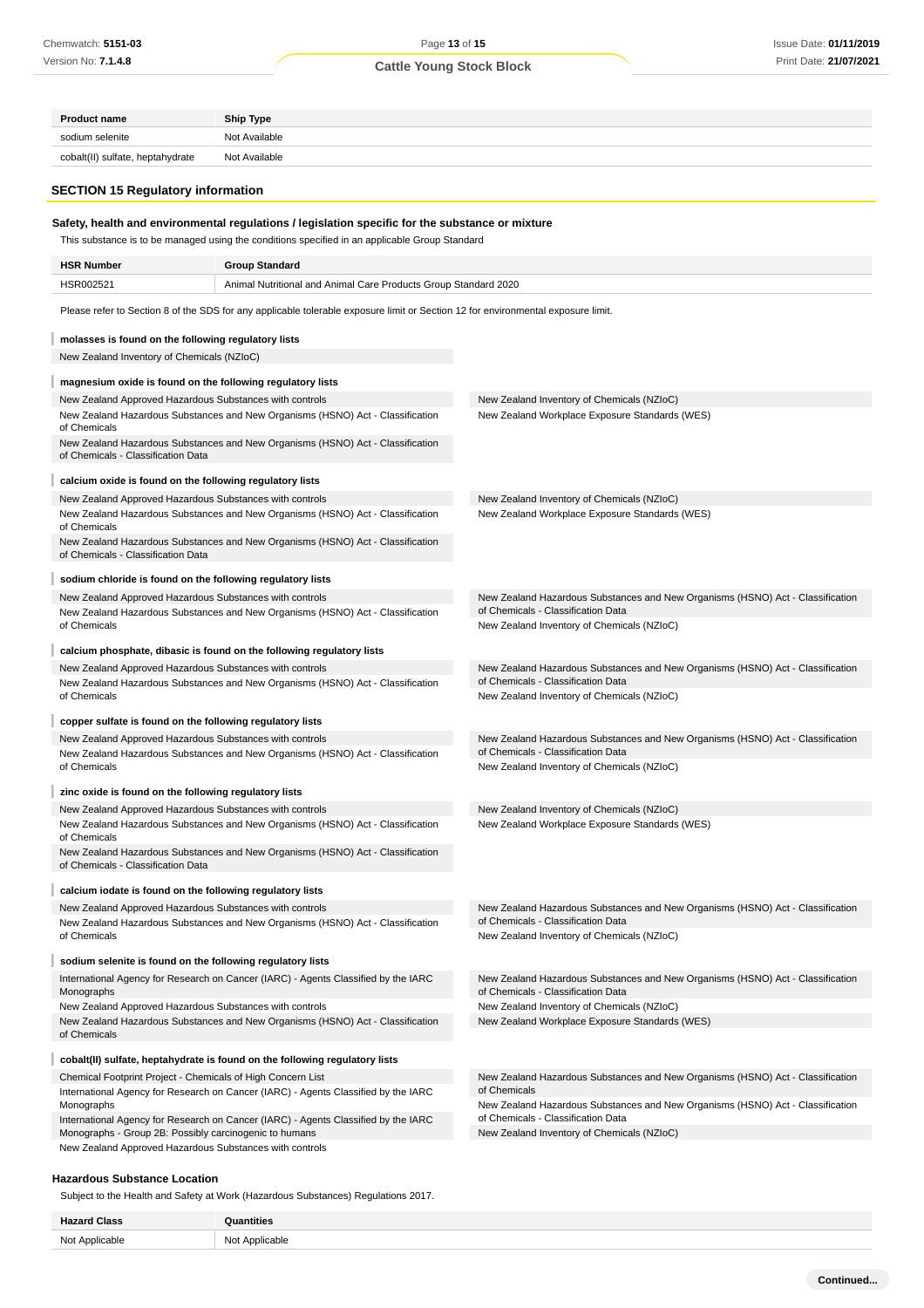## Page **13** of **15**

## **Cattle Young Stock Block**

| <b>Product name</b>                                                                                                              | <b>Ship Type</b>                                                                                                                 |                                                                                                                      |  |  |
|----------------------------------------------------------------------------------------------------------------------------------|----------------------------------------------------------------------------------------------------------------------------------|----------------------------------------------------------------------------------------------------------------------|--|--|
| sodium selenite                                                                                                                  | Not Available                                                                                                                    |                                                                                                                      |  |  |
| cobalt(II) sulfate, heptahydrate<br>Not Available                                                                                |                                                                                                                                  |                                                                                                                      |  |  |
|                                                                                                                                  |                                                                                                                                  |                                                                                                                      |  |  |
| <b>SECTION 15 Regulatory information</b>                                                                                         |                                                                                                                                  |                                                                                                                      |  |  |
|                                                                                                                                  | Safety, health and environmental regulations / legislation specific for the substance or mixture                                 |                                                                                                                      |  |  |
|                                                                                                                                  | This substance is to be managed using the conditions specified in an applicable Group Standard                                   |                                                                                                                      |  |  |
|                                                                                                                                  |                                                                                                                                  |                                                                                                                      |  |  |
| <b>HSR Number</b><br>HSR002521                                                                                                   | <b>Group Standard</b><br>Animal Nutritional and Animal Care Products Group Standard 2020                                         |                                                                                                                      |  |  |
|                                                                                                                                  |                                                                                                                                  |                                                                                                                      |  |  |
|                                                                                                                                  | Please refer to Section 8 of the SDS for any applicable tolerable exposure limit or Section 12 for environmental exposure limit. |                                                                                                                      |  |  |
| molasses is found on the following regulatory lists                                                                              |                                                                                                                                  |                                                                                                                      |  |  |
| New Zealand Inventory of Chemicals (NZIoC)                                                                                       |                                                                                                                                  |                                                                                                                      |  |  |
|                                                                                                                                  |                                                                                                                                  |                                                                                                                      |  |  |
| magnesium oxide is found on the following regulatory lists                                                                       |                                                                                                                                  |                                                                                                                      |  |  |
| New Zealand Approved Hazardous Substances with controls                                                                          | New Zealand Hazardous Substances and New Organisms (HSNO) Act - Classification                                                   | New Zealand Inventory of Chemicals (NZIoC)<br>New Zealand Workplace Exposure Standards (WES)                         |  |  |
| of Chemicals                                                                                                                     |                                                                                                                                  |                                                                                                                      |  |  |
| of Chemicals - Classification Data                                                                                               | New Zealand Hazardous Substances and New Organisms (HSNO) Act - Classification                                                   |                                                                                                                      |  |  |
|                                                                                                                                  |                                                                                                                                  |                                                                                                                      |  |  |
| calcium oxide is found on the following regulatory lists                                                                         |                                                                                                                                  |                                                                                                                      |  |  |
| New Zealand Approved Hazardous Substances with controls                                                                          | New Zealand Hazardous Substances and New Organisms (HSNO) Act - Classification                                                   | New Zealand Inventory of Chemicals (NZIoC)<br>New Zealand Workplace Exposure Standards (WES)                         |  |  |
| of Chemicals                                                                                                                     |                                                                                                                                  |                                                                                                                      |  |  |
|                                                                                                                                  | New Zealand Hazardous Substances and New Organisms (HSNO) Act - Classification                                                   |                                                                                                                      |  |  |
| of Chemicals - Classification Data                                                                                               |                                                                                                                                  |                                                                                                                      |  |  |
| sodium chloride is found on the following regulatory lists                                                                       |                                                                                                                                  |                                                                                                                      |  |  |
| New Zealand Approved Hazardous Substances with controls                                                                          |                                                                                                                                  | New Zealand Hazardous Substances and New Organisms (HSNO) Act - Classification<br>of Chemicals - Classification Data |  |  |
| of Chemicals                                                                                                                     | New Zealand Hazardous Substances and New Organisms (HSNO) Act - Classification                                                   | New Zealand Inventory of Chemicals (NZIoC)                                                                           |  |  |
|                                                                                                                                  |                                                                                                                                  |                                                                                                                      |  |  |
| New Zealand Approved Hazardous Substances with controls                                                                          | calcium phosphate, dibasic is found on the following regulatory lists                                                            | New Zealand Hazardous Substances and New Organisms (HSNO) Act - Classification                                       |  |  |
|                                                                                                                                  | New Zealand Hazardous Substances and New Organisms (HSNO) Act - Classification                                                   | of Chemicals - Classification Data                                                                                   |  |  |
| of Chemicals                                                                                                                     |                                                                                                                                  | New Zealand Inventory of Chemicals (NZIoC)                                                                           |  |  |
| copper sulfate is found on the following regulatory lists                                                                        |                                                                                                                                  |                                                                                                                      |  |  |
| New Zealand Approved Hazardous Substances with controls                                                                          |                                                                                                                                  | New Zealand Hazardous Substances and New Organisms (HSNO) Act - Classification                                       |  |  |
|                                                                                                                                  | New Zealand Hazardous Substances and New Organisms (HSNO) Act - Classification                                                   | of Chemicals - Classification Data                                                                                   |  |  |
| of Chemicals                                                                                                                     |                                                                                                                                  | New Zealand Inventory of Chemicals (NZIoC)                                                                           |  |  |
| zinc oxide is found on the following regulatory lists                                                                            |                                                                                                                                  |                                                                                                                      |  |  |
| New Zealand Approved Hazardous Substances with controls                                                                          |                                                                                                                                  | New Zealand Inventory of Chemicals (NZIoC)                                                                           |  |  |
| of Chemicals                                                                                                                     | New Zealand Hazardous Substances and New Organisms (HSNO) Act - Classification                                                   | New Zealand Workplace Exposure Standards (WES)                                                                       |  |  |
|                                                                                                                                  | New Zealand Hazardous Substances and New Organisms (HSNO) Act - Classification                                                   |                                                                                                                      |  |  |
| of Chemicals - Classification Data                                                                                               |                                                                                                                                  |                                                                                                                      |  |  |
| calcium iodate is found on the following regulatory lists                                                                        |                                                                                                                                  |                                                                                                                      |  |  |
| New Zealand Approved Hazardous Substances with controls                                                                          |                                                                                                                                  | New Zealand Hazardous Substances and New Organisms (HSNO) Act - Classification                                       |  |  |
| of Chemicals                                                                                                                     | New Zealand Hazardous Substances and New Organisms (HSNO) Act - Classification                                                   | of Chemicals - Classification Data<br>New Zealand Inventory of Chemicals (NZIoC)                                     |  |  |
|                                                                                                                                  |                                                                                                                                  |                                                                                                                      |  |  |
| sodium selenite is found on the following regulatory lists                                                                       |                                                                                                                                  |                                                                                                                      |  |  |
| Monographs                                                                                                                       | International Agency for Research on Cancer (IARC) - Agents Classified by the IARC                                               | New Zealand Hazardous Substances and New Organisms (HSNO) Act - Classification<br>of Chemicals - Classification Data |  |  |
| New Zealand Approved Hazardous Substances with controls                                                                          |                                                                                                                                  | New Zealand Inventory of Chemicals (NZIoC)                                                                           |  |  |
| New Zealand Hazardous Substances and New Organisms (HSNO) Act - Classification<br>New Zealand Workplace Exposure Standards (WES) |                                                                                                                                  |                                                                                                                      |  |  |
|                                                                                                                                  |                                                                                                                                  |                                                                                                                      |  |  |
| of Chemicals                                                                                                                     |                                                                                                                                  |                                                                                                                      |  |  |
|                                                                                                                                  | cobalt(II) sulfate, heptahydrate is found on the following regulatory lists                                                      |                                                                                                                      |  |  |
| Chemical Footprint Project - Chemicals of High Concern List                                                                      |                                                                                                                                  | New Zealand Hazardous Substances and New Organisms (HSNO) Act - Classification                                       |  |  |
|                                                                                                                                  | International Agency for Research on Cancer (IARC) - Agents Classified by the IARC                                               | of Chemicals                                                                                                         |  |  |
| Monographs                                                                                                                       | International Agency for Research on Cancer (IARC) - Agents Classified by the IARC                                               | New Zealand Hazardous Substances and New Organisms (HSNO) Act - Classification<br>of Chemicals - Classification Data |  |  |
| Monographs - Group 2B: Possibly carcinogenic to humans<br>New Zealand Approved Hazardous Substances with controls                |                                                                                                                                  | New Zealand Inventory of Chemicals (NZIoC)                                                                           |  |  |

Subject to the Health and Safety at Work (Hazardous Substances) Regulations 2017.

| --- |  |
|-----|--|
| ۰ι∩ |  |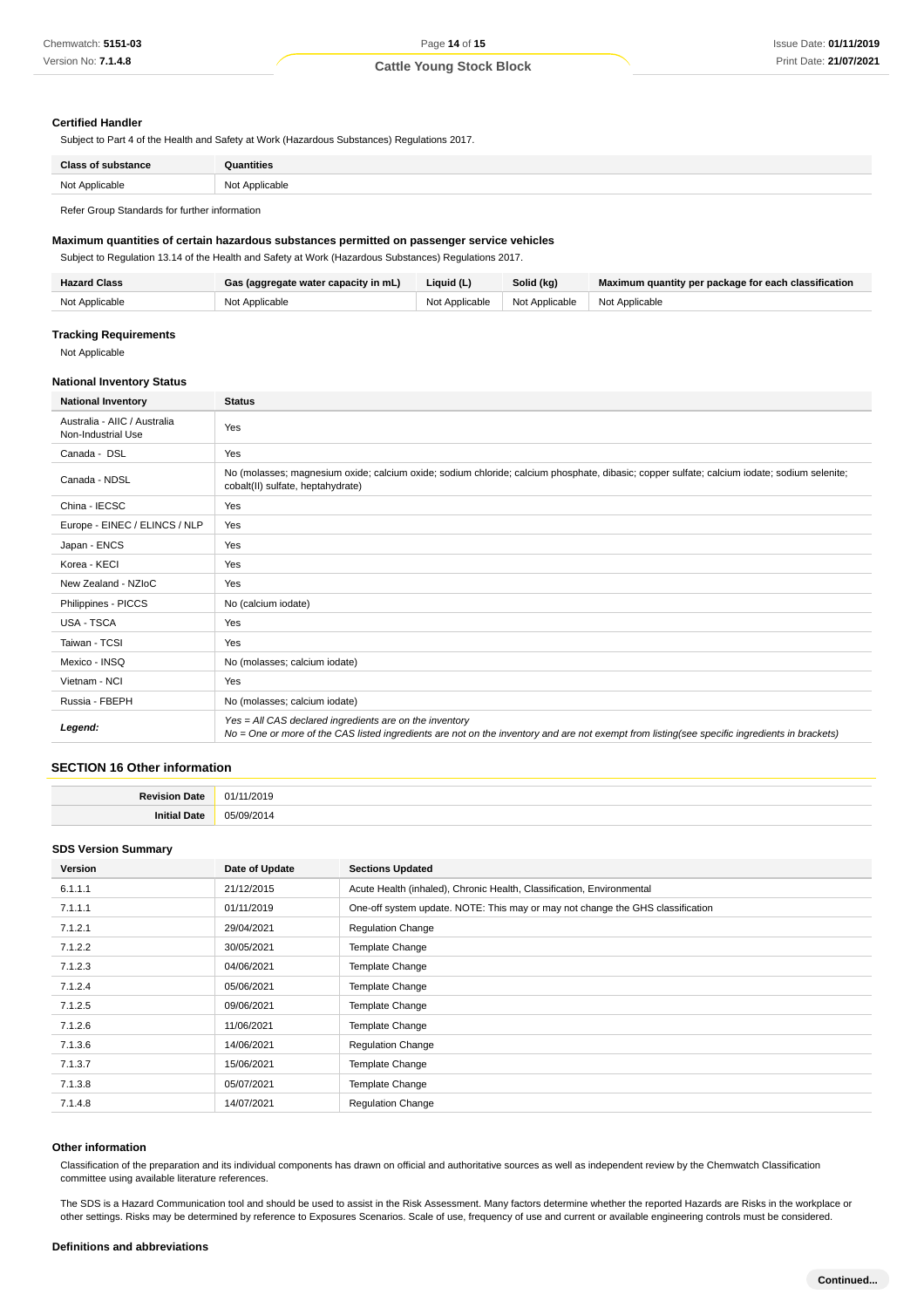#### **Certified Handler**

Subject to Part 4 of the Health and Safety at Work (Hazardous Substances) Regulations 2017.

| Class<br>ance           | <b>Quantities</b> |
|-------------------------|-------------------|
| Not Applicable<br>13017 | Not Applicable    |
|                         |                   |

Refer Group Standards for further information

#### **Maximum quantities of certain hazardous substances permitted on passenger service vehicles**

Subject to Regulation 13.14 of the Health and Safety at Work (Hazardous Substances) Regulations 2017.

| <b>Hazard Class</b> | Gas (aggregate water capacity in mL) | Liquid (L)     | Solid (kg)                      | Maximum quantity per package for each classification |
|---------------------|--------------------------------------|----------------|---------------------------------|------------------------------------------------------|
| Not Applicable      | Not Applicable                       | Not Applicable | Not Applicable   Not Applicable |                                                      |

#### **Tracking Requirements**

Not Applicable

#### **National Inventory Status**

| <b>National Inventory</b>                          | <b>Status</b>                                                                                                                                                                                            |  |
|----------------------------------------------------|----------------------------------------------------------------------------------------------------------------------------------------------------------------------------------------------------------|--|
| Australia - AIIC / Australia<br>Non-Industrial Use | Yes                                                                                                                                                                                                      |  |
| Canada - DSL                                       | Yes                                                                                                                                                                                                      |  |
| Canada - NDSL                                      | No (molasses; magnesium oxide; calcium oxide; sodium chloride; calcium phosphate, dibasic; copper sulfate; calcium iodate; sodium selenite;<br>cobalt(II) sulfate, heptahydrate)                         |  |
| China - IECSC                                      | Yes                                                                                                                                                                                                      |  |
| Europe - EINEC / ELINCS / NLP                      | Yes                                                                                                                                                                                                      |  |
| Japan - ENCS                                       | Yes                                                                                                                                                                                                      |  |
| Korea - KECI                                       | Yes                                                                                                                                                                                                      |  |
| New Zealand - NZIoC                                | Yes                                                                                                                                                                                                      |  |
| Philippines - PICCS                                | No (calcium iodate)                                                                                                                                                                                      |  |
| <b>USA - TSCA</b>                                  | Yes                                                                                                                                                                                                      |  |
| Taiwan - TCSI                                      | Yes                                                                                                                                                                                                      |  |
| Mexico - INSQ                                      | No (molasses; calcium iodate)                                                                                                                                                                            |  |
| Vietnam - NCI                                      | Yes                                                                                                                                                                                                      |  |
| Russia - FBEPH                                     | No (molasses; calcium iodate)                                                                                                                                                                            |  |
| Legend:                                            | Yes = All CAS declared ingredients are on the inventory<br>No = One or more of the CAS listed ingredients are not on the inventory and are not exempt from listing(see specific ingredients in brackets) |  |

#### **SECTION 16 Other information**

| <b>Davis</b><br>ה+פר<br>,,,, | 201. |
|------------------------------|------|
| 1121c                        | 1 Z  |

#### **SDS Version Summary**

| Version | Date of Update | <b>Sections Updated</b>                                                        |
|---------|----------------|--------------------------------------------------------------------------------|
| 6.1.1.1 | 21/12/2015     | Acute Health (inhaled), Chronic Health, Classification, Environmental          |
| 7.1.1.1 | 01/11/2019     | One-off system update. NOTE: This may or may not change the GHS classification |
| 7.1.2.1 | 29/04/2021     | <b>Regulation Change</b>                                                       |
| 7.1.2.2 | 30/05/2021     | <b>Template Change</b>                                                         |
| 7.1.2.3 | 04/06/2021     | Template Change                                                                |
| 7.1.2.4 | 05/06/2021     | <b>Template Change</b>                                                         |
| 7.1.2.5 | 09/06/2021     | Template Change                                                                |
| 7.1.2.6 | 11/06/2021     | Template Change                                                                |
| 7.1.3.6 | 14/06/2021     | <b>Regulation Change</b>                                                       |
| 7.1.3.7 | 15/06/2021     | Template Change                                                                |
| 7.1.3.8 | 05/07/2021     | <b>Template Change</b>                                                         |
| 7.1.4.8 | 14/07/2021     | <b>Regulation Change</b>                                                       |

#### **Other information**

Classification of the preparation and its individual components has drawn on official and authoritative sources as well as independent review by the Chemwatch Classification committee using available literature references.

The SDS is a Hazard Communication tool and should be used to assist in the Risk Assessment. Many factors determine whether the reported Hazards are Risks in the workplace or other settings. Risks may be determined by reference to Exposures Scenarios. Scale of use, frequency of use and current or available engineering controls must be considered.